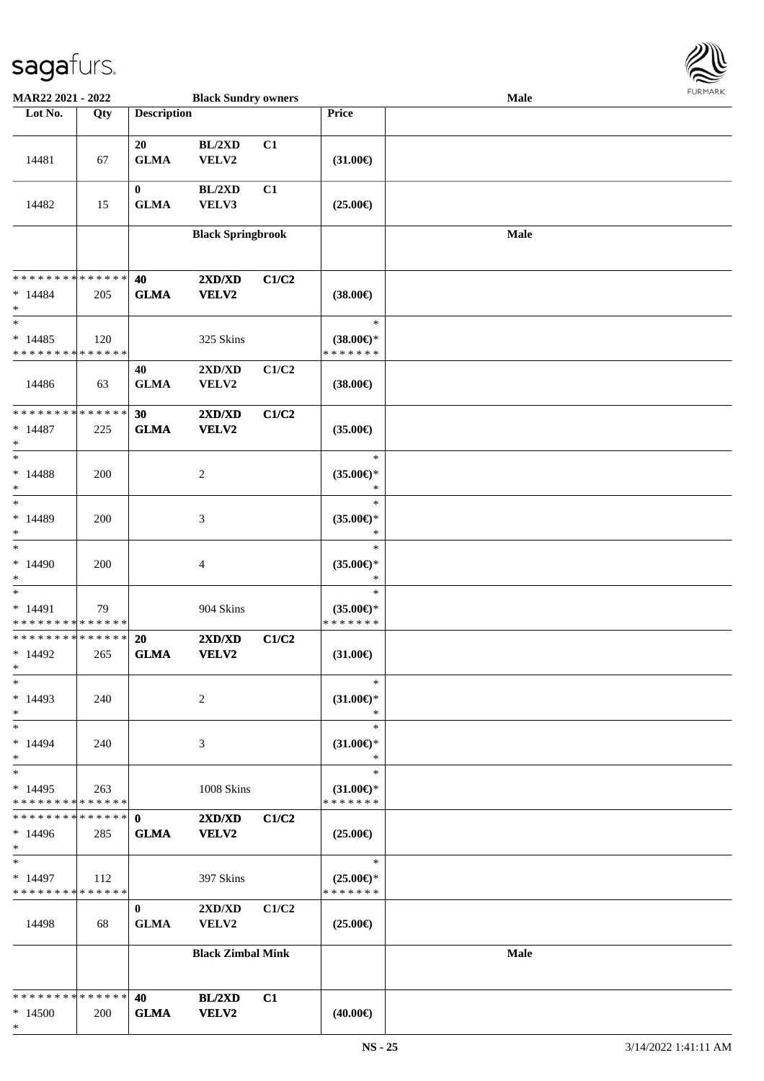

| MAR22 2021 - 2022                                       |                    |                             | <b>Black Sundry owners</b>  |       |                                                   | Male | $1 \times 1 \times 1 \times 1 \times 1$ |
|---------------------------------------------------------|--------------------|-----------------------------|-----------------------------|-------|---------------------------------------------------|------|-----------------------------------------|
| Lot No.                                                 | Qty                | <b>Description</b>          |                             |       | Price                                             |      |                                         |
| 14481                                                   | 67                 | 20<br><b>GLMA</b>           | BL/2XD<br>VELV2             | C1    | $(31.00\epsilon)$                                 |      |                                         |
| 14482                                                   | 15                 | $\bf{0}$<br><b>GLMA</b>     | BL/2XD<br>VELV3             | C1    | $(25.00\epsilon)$                                 |      |                                         |
|                                                         |                    |                             | <b>Black Springbrook</b>    |       |                                                   | Male |                                         |
| * * * * * * * * * * * * * *<br>$*14484$<br>$\ast$       | 205                | 40<br><b>GLMA</b>           | 2XD/XD<br><b>VELV2</b>      | C1/C2 | $(38.00\epsilon)$                                 |      |                                         |
| $\overline{\phantom{1}}$<br>$*14485$<br>* * * * * * * * | 120<br>* * * * * * |                             | 325 Skins                   |       | $\ast$<br>$(38.00\epsilon)$ *<br>* * * * * * *    |      |                                         |
| 14486                                                   | 63                 | 40<br><b>GLMA</b>           | 2XD/XD<br>VELV2             | C1/C2 | $(38.00\epsilon)$                                 |      |                                         |
| * * * * * * * * * * * * * *<br>$* 14487$<br>$\ast$      | 225                | 30<br><b>GLMA</b>           | 2XD/XD<br><b>VELV2</b>      | C1/C2 | $(35.00\epsilon)$                                 |      |                                         |
| $\overline{\phantom{1}}$<br>$* 14488$<br>$\ast$         | 200                |                             | $\boldsymbol{2}$            |       | $\ast$<br>$(35.00\epsilon)$ *<br>$\ast$           |      |                                         |
| $\ast$<br>* 14489<br>$\ast$<br>$\ast$                   | 200                |                             | $\ensuremath{\mathfrak{Z}}$ |       | $\ast$<br>$(35.00\epsilon)$ *<br>$\ast$<br>$\ast$ |      |                                         |
| $*14490$<br>$\ast$<br>$\overline{\phantom{0}}$          | 200                |                             | 4                           |       | $(35.00\epsilon)$ *<br>$\ast$<br>$\ast$           |      |                                         |
| $* 14491$<br>* * * * * * * * * * * * * *                | 79                 |                             | 904 Skins                   |       | $(35.00\epsilon)$ *<br>* * * * * * *              |      |                                         |
| * * * * * * * * * * * * * *<br>$*14492$<br>$*$          | 265                | 20<br><b>GLMA</b>           | 2XD/XD<br>VELV2             | C1/C2 | $(31.00\epsilon)$                                 |      |                                         |
| $\ast$<br>$*14493$<br>$\ast$                            | 240                |                             | $\overline{c}$              |       | $\ast$<br>$(31.00\epsilon)$ *<br>$\ast$           |      |                                         |
| $\ast$<br>$*14494$<br>$\ast$                            | 240                |                             | 3                           |       | $\ast$<br>$(31.00\epsilon)$ *<br>$\ast$           |      |                                         |
| $\ast$<br>$*14495$<br>* * * * * * * * * * * * * *       | 263                |                             | 1008 Skins                  |       | $\ast$<br>$(31.00\epsilon)$ *<br>* * * * * * *    |      |                                         |
| * * * * * * * *<br>$*14496$<br>$\ast$                   | ******<br>285      | $\mathbf{0}$<br><b>GLMA</b> | 2XD/XD<br><b>VELV2</b>      | C1/C2 | $(25.00\epsilon)$                                 |      |                                         |
| $\ast$<br>$*14497$<br>* * * * * * * * * * * * * *       | 112                |                             | 397 Skins                   |       | $\ast$<br>$(25.00\epsilon)$ *<br>* * * * * * *    |      |                                         |
| 14498                                                   | 68                 | $\mathbf{0}$<br><b>GLMA</b> | 2XD/XD<br><b>VELV2</b>      | C1/C2 | $(25.00\epsilon)$                                 |      |                                         |
|                                                         |                    |                             | <b>Black Zimbal Mink</b>    |       |                                                   | Male |                                         |
| * * * * * * * * * * * * * *<br>$*14500$<br>$\ast$       | 200                | 40<br><b>GLMA</b>           | BL/2XD<br><b>VELV2</b>      | C1    | $(40.00\epsilon)$                                 |      |                                         |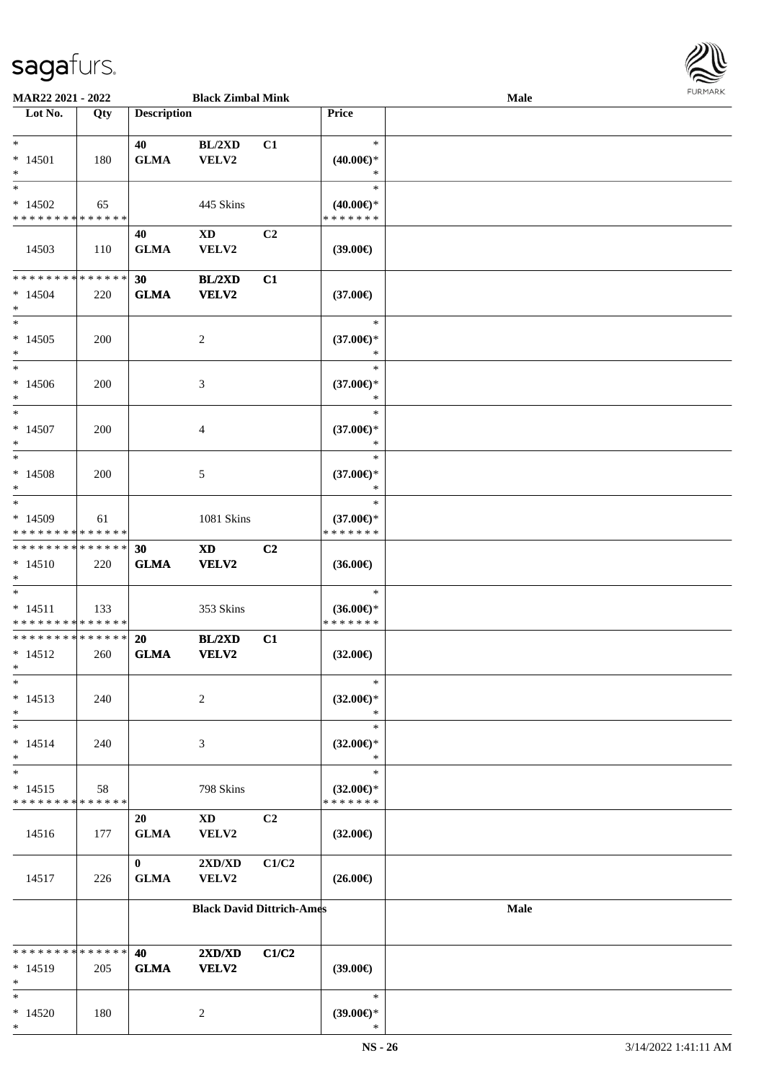

| MAR22 2021 - 2022                       |             |                    | <b>Black Zimbal Mink</b> |                                  |                                      | Male        |  |
|-----------------------------------------|-------------|--------------------|--------------------------|----------------------------------|--------------------------------------|-------------|--|
| Lot No.                                 | Qty         | <b>Description</b> |                          |                                  | <b>Price</b>                         |             |  |
|                                         |             |                    |                          |                                  |                                      |             |  |
| $*$                                     |             | 40                 | BL/2XD                   | C1                               | $\ast$                               |             |  |
| $*14501$                                | 180         | <b>GLMA</b>        | VELV2                    |                                  | $(40.00\epsilon)$ *                  |             |  |
| $\ast$<br>$*$                           |             |                    |                          |                                  | ∗                                    |             |  |
|                                         |             |                    |                          |                                  | $\ast$                               |             |  |
| $*14502$<br>* * * * * * * * * * * * * * | 65          |                    | 445 Skins                |                                  | $(40.00\epsilon)$ *<br>* * * * * * * |             |  |
|                                         |             |                    |                          |                                  |                                      |             |  |
| 14503                                   |             | 40                 | XD                       | C <sub>2</sub>                   |                                      |             |  |
|                                         | 110         | <b>GLMA</b>        | VELV2                    |                                  | (39.00)                              |             |  |
| * * * * * * * * * * * * * *             |             | 30                 | <b>BL/2XD</b>            | C1                               |                                      |             |  |
| $*14504$                                | 220         | <b>GLMA</b>        | VELV2                    |                                  | $(37.00\epsilon)$                    |             |  |
| $*$                                     |             |                    |                          |                                  |                                      |             |  |
| $*$                                     |             |                    |                          |                                  | $\ast$                               |             |  |
| $*14505$                                | 200         |                    | $\overline{c}$           |                                  | $(37.00\epsilon)$ *                  |             |  |
| $*$                                     |             |                    |                          |                                  | $\ast$                               |             |  |
| $*$                                     |             |                    |                          |                                  | $\ast$                               |             |  |
| $*14506$                                | 200         |                    | 3                        |                                  | $(37.00\epsilon)$ *                  |             |  |
| $*$                                     |             |                    |                          |                                  | $\ast$                               |             |  |
| $*$                                     |             |                    |                          |                                  | $\ast$                               |             |  |
| $*14507$                                | 200         |                    | 4                        |                                  | $(37.00\epsilon)$ *                  |             |  |
| $\ast$<br>$\ast$                        |             |                    |                          |                                  | $\ast$                               |             |  |
|                                         |             |                    |                          |                                  | $\ast$                               |             |  |
| $*14508$<br>$*$                         | 200         |                    | 5                        |                                  | $(37.00\epsilon)$ *<br>$\ast$        |             |  |
| $*$                                     |             |                    |                          |                                  | $\ast$                               |             |  |
| $*14509$                                | 61          |                    | 1081 Skins               |                                  | $(37.00\epsilon)$ *                  |             |  |
| * * * * * * * * * * * * * *             |             |                    |                          |                                  | * * * * * * *                        |             |  |
| * * * * * * * * * * * * * *             |             | 30                 | <b>XD</b>                | C <sub>2</sub>                   |                                      |             |  |
| $*14510$                                | 220         | <b>GLMA</b>        | VELV2                    |                                  | $(36.00\epsilon)$                    |             |  |
| $*$                                     |             |                    |                          |                                  |                                      |             |  |
| $*$                                     |             |                    |                          |                                  | $\ast$                               |             |  |
| $* 14511$                               | 133         |                    | 353 Skins                |                                  | $(36.00\epsilon)$ *                  |             |  |
| * * * * * * * * * * * * * *             |             |                    |                          |                                  | * * * * * * *                        |             |  |
| * * * * * * * * * * * * * * *           |             | <b>20</b>          | BL/2XD                   | C1                               |                                      |             |  |
| $* 14512$                               | 260         | <b>GLMA</b>        | <b>VELV2</b>             |                                  | $(32.00\epsilon)$                    |             |  |
| $*$<br>$\ast$                           |             |                    |                          |                                  | $\ast$                               |             |  |
| $* 14513$                               | 240         |                    | 2                        |                                  | $(32.00\epsilon)$ *                  |             |  |
| $*$                                     |             |                    |                          |                                  | $\ast$                               |             |  |
| $*$                                     |             |                    |                          |                                  | $\ast$                               |             |  |
| $* 14514$                               | 240         |                    | 3                        |                                  | $(32.00\epsilon)$ *                  |             |  |
| $*$                                     |             |                    |                          |                                  | $\ast$                               |             |  |
| $\ast$                                  |             |                    |                          |                                  | $\ast$                               |             |  |
| $* 14515$                               | 58          |                    | 798 Skins                |                                  | $(32.00\epsilon)$ *                  |             |  |
| * * * * * * * *                         | * * * * * * |                    |                          |                                  | * * * * * * *                        |             |  |
|                                         |             | 20                 | $\mathbf{X}\mathbf{D}$   | C <sub>2</sub>                   |                                      |             |  |
| 14516                                   | 177         | <b>GLMA</b>        | VELV2                    |                                  | $(32.00\epsilon)$                    |             |  |
|                                         |             |                    |                          |                                  |                                      |             |  |
|                                         |             | $\mathbf{0}$       | 2XD/XD                   | C1/C2                            |                                      |             |  |
| 14517                                   | 226         | <b>GLMA</b>        | VELV2                    |                                  | $(26.00\epsilon)$                    |             |  |
|                                         |             |                    |                          | <b>Black David Dittrich-Ames</b> |                                      | <b>Male</b> |  |
|                                         |             |                    |                          |                                  |                                      |             |  |
|                                         |             |                    |                          |                                  |                                      |             |  |
| * * * * * * * * * * * * * *             |             | 40                 | 2XD/XD                   | C1/C2                            |                                      |             |  |
| $* 14519$                               | 205         | <b>GLMA</b>        | <b>VELV2</b>             |                                  | $(39.00\epsilon)$                    |             |  |
| $\ast$                                  |             |                    |                          |                                  |                                      |             |  |
| $*$                                     |             |                    |                          |                                  | $\ast$                               |             |  |
| $*14520$<br>$\ast$                      | 180         |                    | $\overline{c}$           |                                  | $(39.00\epsilon)$ *<br>∗             |             |  |
|                                         |             |                    |                          |                                  |                                      |             |  |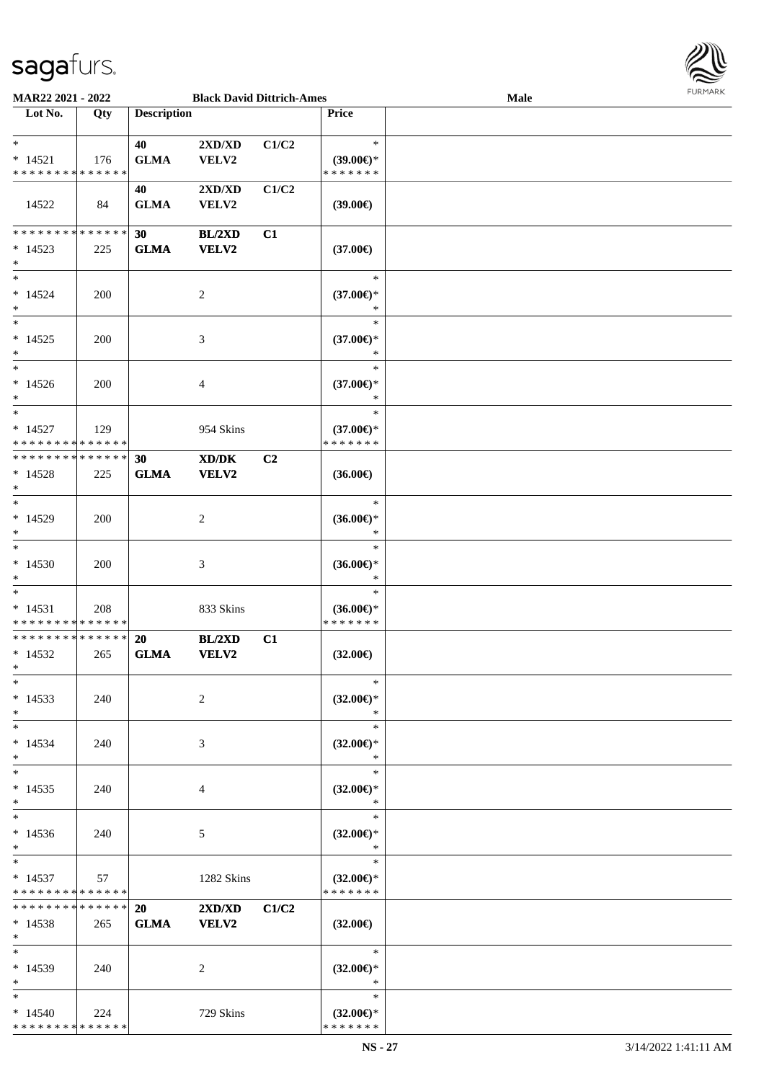

| MAR22 2021 - 2022                        |     |                    | <b>Black David Dittrich-Ames</b>                                                                     |       |                                      | Male | 1.9151111515 |
|------------------------------------------|-----|--------------------|------------------------------------------------------------------------------------------------------|-------|--------------------------------------|------|--------------|
| Lot No.                                  | Qty | <b>Description</b> |                                                                                                      |       | Price                                |      |              |
|                                          |     |                    |                                                                                                      |       |                                      |      |              |
| $\ast$                                   |     | 40                 | 2XD/XD                                                                                               | C1/C2 | $\ast$                               |      |              |
| $* 14521$                                | 176 | <b>GLMA</b>        | VELV2                                                                                                |       | $(39.00\epsilon)$ *                  |      |              |
| * * * * * * * * * * * * * *              |     |                    |                                                                                                      |       | * * * * * * *                        |      |              |
|                                          |     | 40                 | 2XD/XD                                                                                               | C1/C2 |                                      |      |              |
|                                          |     |                    |                                                                                                      |       |                                      |      |              |
| 14522                                    | 84  | <b>GLMA</b>        | VELV2                                                                                                |       | $(39.00\epsilon)$                    |      |              |
|                                          |     |                    |                                                                                                      |       |                                      |      |              |
| * * * * * * * * * * * * * *              |     | 30                 | BL/2XD                                                                                               | C1    |                                      |      |              |
| $*14523$                                 | 225 | <b>GLMA</b>        | VELV2                                                                                                |       | $(37.00\epsilon)$                    |      |              |
| $\ast$                                   |     |                    |                                                                                                      |       |                                      |      |              |
| $\ast$                                   |     |                    |                                                                                                      |       | $\ast$                               |      |              |
| $* 14524$                                | 200 |                    | $\boldsymbol{2}$                                                                                     |       | $(37.00\epsilon)$ *                  |      |              |
| $\ast$                                   |     |                    |                                                                                                      |       | $\ast$                               |      |              |
| $\overline{\phantom{1}}$                 |     |                    |                                                                                                      |       | $\ast$                               |      |              |
| $* 14525$                                | 200 |                    | 3                                                                                                    |       | $(37.00\epsilon)$ *                  |      |              |
| $\ast$                                   |     |                    |                                                                                                      |       | $\ast$                               |      |              |
| $\ast$                                   |     |                    |                                                                                                      |       | $\ast$                               |      |              |
| $* 14526$                                | 200 |                    | $\overline{\mathcal{A}}$                                                                             |       | $(37.00\epsilon)$ *                  |      |              |
| $\ast$                                   |     |                    |                                                                                                      |       | $\ast$                               |      |              |
| $\ast$                                   |     |                    |                                                                                                      |       | $\ast$                               |      |              |
|                                          |     |                    |                                                                                                      |       |                                      |      |              |
| $* 14527$                                | 129 |                    | 954 Skins                                                                                            |       | $(37.00\epsilon)$ *                  |      |              |
| * * * * * * * * * * * * * *              |     |                    |                                                                                                      |       | * * * * * * *                        |      |              |
| **************                           |     | 30                 | $\boldsymbol{\text{X}}\boldsymbol{\text{D}}\boldsymbol{/}\boldsymbol{\text{D}}\boldsymbol{\text{K}}$ | C2    |                                      |      |              |
| $*14528$                                 | 225 | <b>GLMA</b>        | <b>VELV2</b>                                                                                         |       | $(36.00\epsilon)$                    |      |              |
| $\ast$                                   |     |                    |                                                                                                      |       |                                      |      |              |
| $\ast$                                   |     |                    |                                                                                                      |       | $\ast$                               |      |              |
| $*14529$                                 | 200 |                    | $\overline{c}$                                                                                       |       | $(36.00\epsilon)$ *                  |      |              |
| $\ast$                                   |     |                    |                                                                                                      |       | $\ast$                               |      |              |
| $\ast$                                   |     |                    |                                                                                                      |       | $\ast$                               |      |              |
| $*14530$                                 | 200 |                    | 3                                                                                                    |       | $(36.00\epsilon)$ *                  |      |              |
| $\ast$                                   |     |                    |                                                                                                      |       | $\ast$                               |      |              |
| $\ast$                                   |     |                    |                                                                                                      |       | $\ast$                               |      |              |
|                                          |     |                    |                                                                                                      |       |                                      |      |              |
| $* 14531$<br>* * * * * * * * * * * * * * | 208 |                    | 833 Skins                                                                                            |       | $(36.00\epsilon)$ *<br>* * * * * * * |      |              |
| * * * * * * * * * * * * * *              |     |                    |                                                                                                      |       |                                      |      |              |
|                                          |     | 20                 | BL/2XD                                                                                               | C1    |                                      |      |              |
| $* 14532$                                | 265 | <b>GLMA</b>        | <b>VELV2</b>                                                                                         |       | $(32.00\epsilon)$                    |      |              |
| $*$                                      |     |                    |                                                                                                      |       |                                      |      |              |
| $*$                                      |     |                    |                                                                                                      |       | $\ast$                               |      |              |
| $* 14533$                                | 240 |                    | 2                                                                                                    |       | $(32.00\epsilon)$ *                  |      |              |
| $\ast$                                   |     |                    |                                                                                                      |       | $\ast$                               |      |              |
| $\ast$                                   |     |                    |                                                                                                      |       | $\ast$                               |      |              |
| $* 14534$                                | 240 |                    | 3                                                                                                    |       | $(32.00\epsilon)$ *                  |      |              |
| $\ast$                                   |     |                    |                                                                                                      |       | $\ast$                               |      |              |
| $\ast$                                   |     |                    |                                                                                                      |       | $\ast$                               |      |              |
| $* 14535$                                | 240 |                    | 4                                                                                                    |       | $(32.00\epsilon)$ *                  |      |              |
| $\ast$                                   |     |                    |                                                                                                      |       | $\ast$                               |      |              |
| $\ast$                                   |     |                    |                                                                                                      |       | $\ast$                               |      |              |
|                                          |     |                    |                                                                                                      |       |                                      |      |              |
| $*14536$<br>$*$                          | 240 |                    | 5                                                                                                    |       | $(32.00\epsilon)$ *<br>$\ast$        |      |              |
| $\ast$                                   |     |                    |                                                                                                      |       | $\ast$                               |      |              |
|                                          |     |                    |                                                                                                      |       |                                      |      |              |
| $* 14537$                                | 57  |                    | 1282 Skins                                                                                           |       | $(32.00\epsilon)$ *                  |      |              |
| * * * * * * * * * * * * * *              |     |                    |                                                                                                      |       | * * * * * * *                        |      |              |
| * * * * * * * * * * * * * * *            |     | <b>20</b>          | 2XD/XD                                                                                               | C1/C2 |                                      |      |              |
| $*14538$                                 | 265 | <b>GLMA</b>        | <b>VELV2</b>                                                                                         |       | $(32.00\epsilon)$                    |      |              |
| $*$                                      |     |                    |                                                                                                      |       |                                      |      |              |
| $*$                                      |     |                    |                                                                                                      |       | $*$                                  |      |              |
| $* 14539$                                | 240 |                    | 2                                                                                                    |       | $(32.00\epsilon)$ *                  |      |              |
| $*$                                      |     |                    |                                                                                                      |       | $\mathbb{R}^n$                       |      |              |
| $*$                                      |     |                    |                                                                                                      |       | $\ast$                               |      |              |
| $*14540$                                 | 224 |                    | 729 Skins                                                                                            |       | $(32.00\epsilon)$ *                  |      |              |
| * * * * * * * * * * * * * *              |     |                    |                                                                                                      |       | * * * * * * *                        |      |              |
|                                          |     |                    |                                                                                                      |       |                                      |      |              |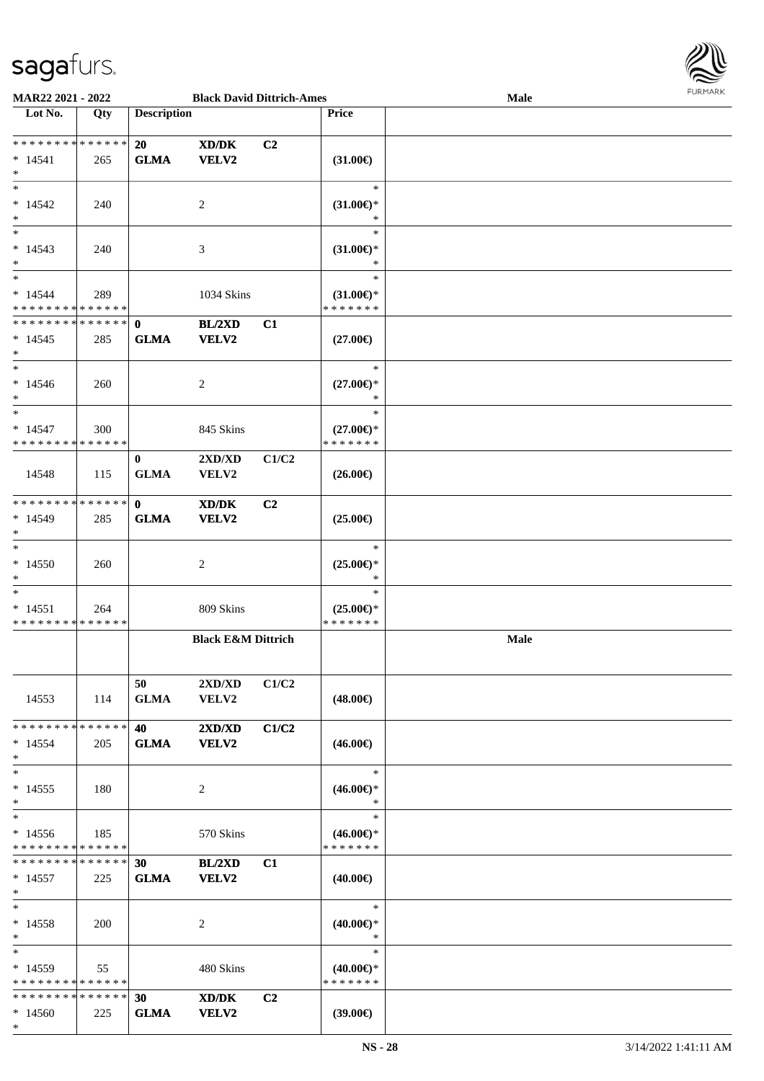\*



| MAR22 2021 - 2022                                                      |     |                             | <b>Black David Dittrich-Ames</b>                                                                                     |                |                                                | Male | <b>FURMARK</b> |
|------------------------------------------------------------------------|-----|-----------------------------|----------------------------------------------------------------------------------------------------------------------|----------------|------------------------------------------------|------|----------------|
| Lot No.                                                                | Qty | <b>Description</b>          |                                                                                                                      |                | <b>Price</b>                                   |      |                |
| * * * * * * * * * * * * * *<br>$* 14541$<br>$\ast$                     | 265 | 20<br><b>GLMA</b>           | $\boldsymbol{\text{X}}\boldsymbol{\text{D}}\boldsymbol{/}\boldsymbol{\text{D}}\boldsymbol{\text{K}}$<br><b>VELV2</b> | C <sub>2</sub> | $(31.00\epsilon)$                              |      |                |
| $\ast$<br>$* 14542$<br>$\ast$                                          | 240 |                             | $\overline{c}$                                                                                                       |                | $\ast$<br>$(31.00\epsilon)$ *<br>$\ast$        |      |                |
| $\ast$<br>$* 14543$<br>$\ast$                                          | 240 |                             | 3                                                                                                                    |                | $\ast$<br>$(31.00\epsilon)$ *<br>$\ast$        |      |                |
| $\ast$<br>$* 14544$<br>* * * * * * * * * * * * * *                     | 289 |                             | 1034 Skins                                                                                                           |                | $\ast$<br>$(31.00\epsilon)$ *<br>* * * * * * * |      |                |
| * * * * * * * * * * * * * * *<br>$*14545$<br>$\ast$                    | 285 | $\mathbf{0}$<br><b>GLMA</b> | BL/2XD<br><b>VELV2</b>                                                                                               | C1             | $(27.00\epsilon)$                              |      |                |
| $\overline{\phantom{0}}$<br>$*14546$<br>$\ast$                         | 260 |                             | 2                                                                                                                    |                | $\ast$<br>$(27.00\epsilon)$ *<br>$\ast$        |      |                |
| $\overline{\phantom{a}^*}$<br>$* 14547$<br>* * * * * * * * * * * * * * | 300 |                             | 845 Skins                                                                                                            |                | $\ast$<br>$(27.00\epsilon)$ *<br>* * * * * * * |      |                |
| 14548                                                                  | 115 | $\bf{0}$<br><b>GLMA</b>     | 2XD/XD<br>VELV2                                                                                                      | C1/C2          | $(26.00\epsilon)$                              |      |                |
| * * * * * * * * * * * * * *<br>$* 14549$<br>$\ast$                     | 285 | $\mathbf{0}$<br><b>GLMA</b> | XD/DK<br>VELV2                                                                                                       | C <sub>2</sub> | $(25.00\epsilon)$                              |      |                |
| $\ast$<br>$*14550$<br>$\ast$                                           | 260 |                             | 2                                                                                                                    |                | $\ast$<br>$(25.00\epsilon)$ *<br>∗             |      |                |
| $\ast$<br>$* 14551$<br>* * * * * * * * * * * * * *                     | 264 |                             | 809 Skins                                                                                                            |                | $\ast$<br>$(25.00\epsilon)$ *<br>* * * * * * * |      |                |
|                                                                        |     |                             | <b>Black E&amp;M Dittrich</b>                                                                                        |                |                                                | Male |                |
| 14553                                                                  | 114 | 50<br><b>GLMA</b>           | 2XD/XD<br><b>VELV2</b>                                                                                               | C1/C2          | $(48.00\epsilon)$                              |      |                |
| * * * * * * * * * * * * * *<br>$*14554$<br>$\ast$                      | 205 | 40<br><b>GLMA</b>           | 2XD/XD<br><b>VELV2</b>                                                                                               | C1/C2          | $(46.00\epsilon)$                              |      |                |
| $\ast$<br>$* 14555$<br>$\ast$                                          | 180 |                             | 2                                                                                                                    |                | $\ast$<br>$(46.00\epsilon)$ *<br>$\ast$        |      |                |
| $\ast$<br>$*14556$<br>* * * * * * * * * * * * * *                      | 185 |                             | 570 Skins                                                                                                            |                | $\ast$<br>$(46.00\epsilon)$ *<br>* * * * * * * |      |                |
| * * * * * * * * * * * * * * *<br>$*14557$<br>$*$                       | 225 | 30<br><b>GLMA</b>           | BL/2XD<br><b>VELV2</b>                                                                                               | C1             | $(40.00\epsilon)$                              |      |                |
| $\ast$<br>$* 14558$<br>$\ast$                                          | 200 |                             | 2                                                                                                                    |                | $\ast$<br>$(40.00\epsilon)$ *<br>$\ast$        |      |                |
| $\ast$<br>$*14559$<br>* * * * * * * * * * * * * *                      | 55  |                             | 480 Skins                                                                                                            |                | $\ast$<br>$(40.00\epsilon)$ *<br>* * * * * * * |      |                |
| * * * * * * * * * * * * * * *<br>$*14560$                              | 225 | 30<br><b>GLMA</b>           | XD/DK<br>VELV2                                                                                                       | C2             | $(39.00\epsilon)$                              |      |                |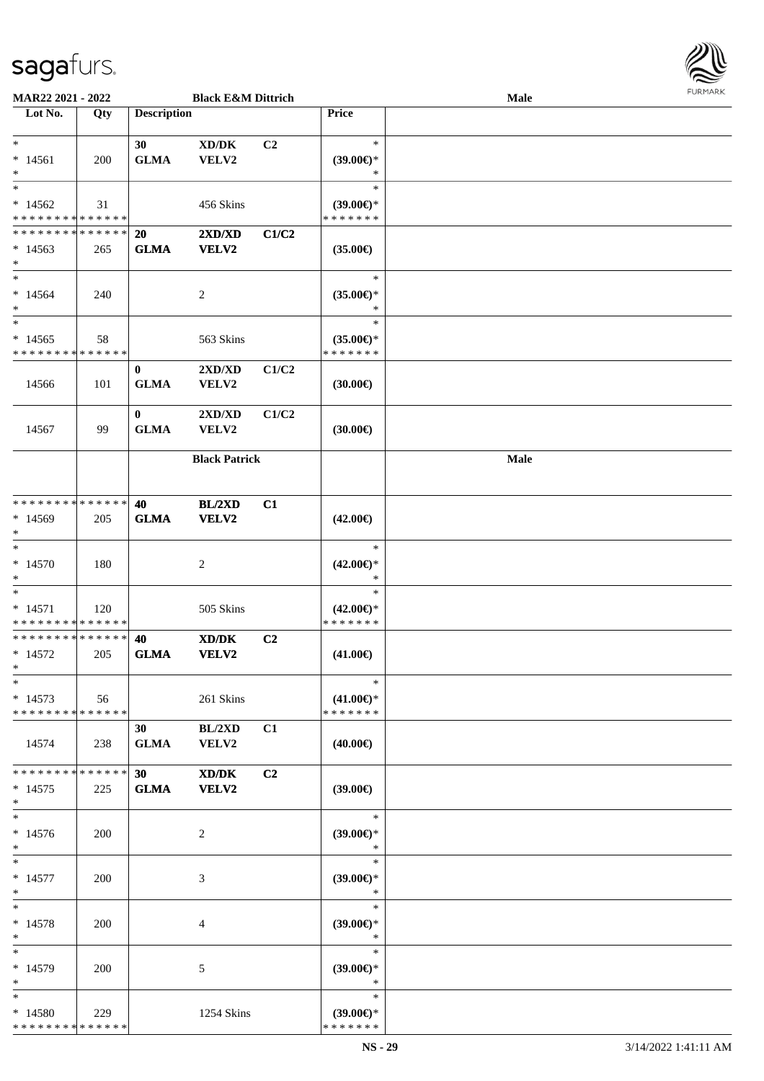

| MAR22 2021 - 2022                                            |            |                                | <b>Black E&amp;M Dittrich</b>                |       |                                                | Male        |  |
|--------------------------------------------------------------|------------|--------------------------------|----------------------------------------------|-------|------------------------------------------------|-------------|--|
| Lot No.                                                      | Qty        | <b>Description</b>             |                                              |       | Price                                          |             |  |
| $\ast$<br>$* 14561$<br>$\ast$                                | 200        | 30<br><b>GLMA</b>              | $\bold{X}\bold{D}/\bold{D}\bold{K}$<br>VELV2 | C2    | $\ast$<br>$(39.00\epsilon)$ *<br>$\ast$        |             |  |
| $\overline{\ast}$<br>$*14562$<br>* * * * * * * * * * * * * * | 31         |                                | 456 Skins                                    |       | $\ast$<br>$(39.00€)$ *<br>* * * * * * *        |             |  |
| * * * * * * * * * * * * * *<br>$*14563$<br>$\ast$            | 265        | <b>20</b><br><b>GLMA</b>       | 2XD/XD<br><b>VELV2</b>                       | C1/C2 | $(35.00\epsilon)$                              |             |  |
| $\overline{\phantom{a}^*}$<br>$*14564$<br>$\ast$             | 240        |                                | $\sqrt{2}$                                   |       | $\ast$<br>$(35.00\epsilon)$ *<br>$\ast$        |             |  |
| $\ast$<br>$*14565$<br>* * * * * * * * * * * * * *            | 58         |                                | 563 Skins                                    |       | $\ast$<br>$(35.00\epsilon)$ *<br>* * * * * * * |             |  |
| 14566                                                        | 101        | $\bf{0}$<br><b>GLMA</b>        | 2XD/XD<br><b>VELV2</b>                       | C1/C2 | (30.00)                                        |             |  |
| 14567                                                        | 99         | $\bf{0}$<br><b>GLMA</b>        | 2XD/XD<br>VELV2                              | C1/C2 | (30.00)                                        |             |  |
|                                                              |            |                                | <b>Black Patrick</b>                         |       |                                                | <b>Male</b> |  |
| **************<br>$*14569$<br>$\ast$                         | 205        | 40<br><b>GLMA</b>              | BL/2XD<br><b>VELV2</b>                       | C1    | $(42.00\epsilon)$                              |             |  |
| $\ast$<br>$* 14570$<br>$\ast$                                | 180        |                                | $\overline{c}$                               |       | $\ast$<br>$(42.00\epsilon)$ *<br>$\ast$        |             |  |
| $\ast$<br>$* 14571$<br>* * * * * * * * * * * * * *           | 120        |                                | 505 Skins                                    |       | $\ast$<br>$(42.00\epsilon)$ *<br>* * * * * * * |             |  |
| **************<br>$* 14572$<br>$*$                           | 205        | 40<br><b>GLMA</b>              | XD/DK<br><b>VELV2</b>                        | C2    | $(41.00\epsilon)$                              |             |  |
| $\ast$<br>$*14573$<br>* * * * * * * * * * * * * *            | 56         |                                | 261 Skins                                    |       | $\ast$<br>$(41.00\epsilon)$ *<br>* * * * * * * |             |  |
| 14574                                                        | 238        | 30 <sup>1</sup><br><b>GLMA</b> | BL/2XD<br>VELV2                              | C1    | $(40.00\epsilon)$                              |             |  |
| * * * * * * * * * * * * * *<br>$*14575$<br>$\ast$            | 225        | 30<br><b>GLMA</b>              | XD/DK<br>VELV2                               | C2    | $(39.00\epsilon)$                              |             |  |
| $\ast$<br>$* 14576$<br>$\ast$                                | 200        |                                | 2                                            |       | $\ast$<br>$(39.00\epsilon)$ *<br>$\ast$        |             |  |
| $\ast$<br>$* 14577$<br>$*$                                   | <b>200</b> |                                | 3                                            |       | $\ast$<br>(39.00)<br>$\ast$                    |             |  |
| $\ast$<br>$* 14578$<br>$\ast$                                | <b>200</b> |                                | 4                                            |       | $\ast$<br>$(39.00\epsilon)$ *<br>$\ast$        |             |  |
| $\ast$<br>$*14579$<br>$\ast$                                 | 200        |                                | 5                                            |       | $\ast$<br>$(39.00\epsilon)$ *<br>$\ast$        |             |  |
| $\ast$<br>$*14580$<br>* * * * * * * * * * * * * *            | 229        |                                | 1254 Skins                                   |       | $\ast$<br>$(39.00\epsilon)$ *<br>* * * * * * * |             |  |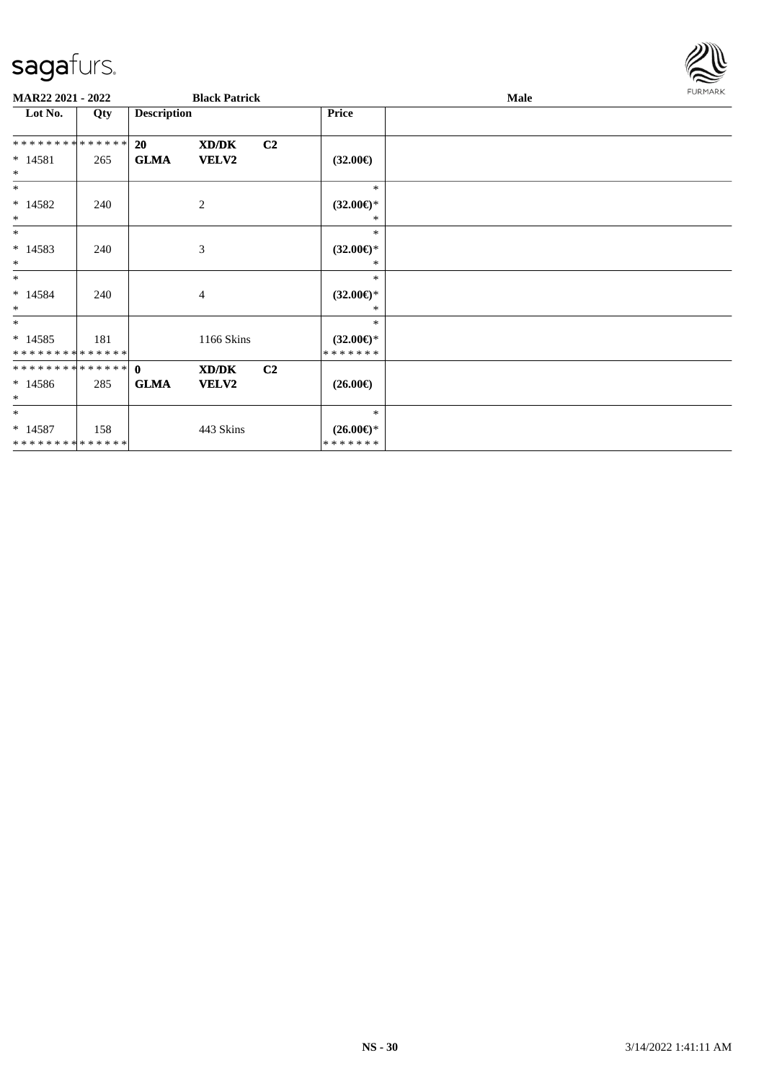

| MAR22 2021 - 2022           |     |                    | <b>Black Patrick</b> |                |                                      | Male | <b>FURMARK</b> |
|-----------------------------|-----|--------------------|----------------------|----------------|--------------------------------------|------|----------------|
| Lot No.                     | Qty | <b>Description</b> |                      |                | Price                                |      |                |
| **************              |     | 20                 | XD/DK                | C2             |                                      |      |                |
| $* 14581$<br>$\ast$         | 265 | <b>GLMA</b>        | VELV2                |                | $(32.00\epsilon)$                    |      |                |
| $*$                         |     |                    |                      |                | $\ast$                               |      |                |
| $* 14582$<br>$\ast$         | 240 |                    | $\mathbf{2}$         |                | $(32.00\epsilon)$ *<br>∗             |      |                |
| $\ast$                      |     |                    |                      |                | $\ast$                               |      |                |
| $* 14583$<br>$\ast$         | 240 |                    | 3                    |                | $(32.00\epsilon)$ *<br>∗             |      |                |
| $*$<br>$* 14584$<br>$\ast$  | 240 |                    | 4                    |                | $\ast$<br>$(32.00\epsilon)$ *<br>$*$ |      |                |
| $*$                         |     |                    |                      |                | $\ast$                               |      |                |
| $* 14585$<br>************** | 181 |                    | 1166 Skins           |                | $(32.00\epsilon)$ *<br>* * * * * * * |      |                |
| **************              |     | $\mathbf{0}$       | XD/DK                | C <sub>2</sub> |                                      |      |                |
| $*14586$<br>$\ast$          | 285 | <b>GLMA</b>        | VELV2                |                | $(26.00\epsilon)$                    |      |                |
| $*$                         |     |                    |                      |                | $\ast$                               |      |                |
| $* 14587$<br>************** | 158 |                    | 443 Skins            |                | $(26.00\epsilon)$ *<br>* * * * * * * |      |                |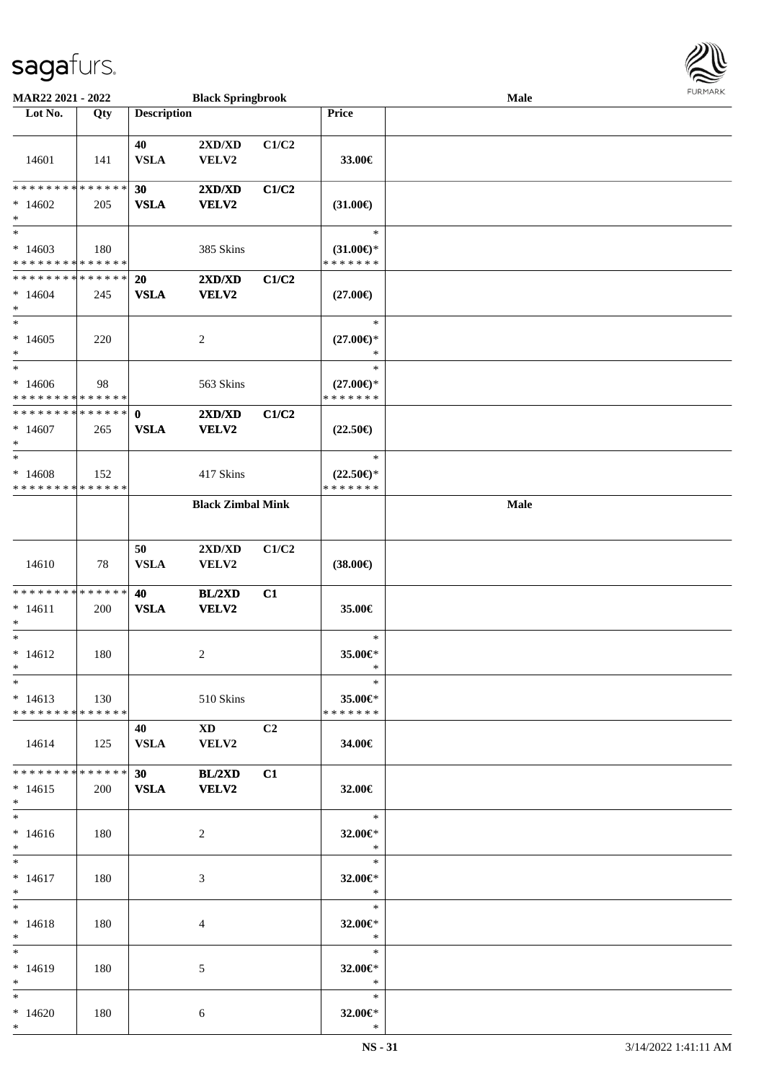

| MAR22 2021 - 2022                                  |     |                             | <b>Black Springbrook</b>                                         |                |                                                | Male |  |
|----------------------------------------------------|-----|-----------------------------|------------------------------------------------------------------|----------------|------------------------------------------------|------|--|
| Lot No.                                            | Qty | <b>Description</b>          |                                                                  |                | Price                                          |      |  |
| 14601                                              | 141 | 40<br><b>VSLA</b>           | 2XD/XD<br>VELV2                                                  | C1/C2          | 33.00€                                         |      |  |
| * * * * * * * * * * * * * *<br>$*14602$<br>$\ast$  | 205 | 30<br><b>VSLA</b>           | 2XD/XD<br><b>VELV2</b>                                           | C1/C2          | $(31.00\epsilon)$                              |      |  |
| $\ast$<br>$*14603$<br>* * * * * * * * * * * * * *  | 180 |                             | 385 Skins                                                        |                | $\ast$<br>$(31.00\epsilon)$ *<br>* * * * * * * |      |  |
| * * * * * * * * * * * * * *<br>$*14604$<br>$\ast$  | 245 | 20<br><b>VSLA</b>           | 2XD/XD<br>VELV2                                                  | C1/C2          | $(27.00\epsilon)$                              |      |  |
| $\ast$<br>$*14605$<br>$\ast$                       | 220 |                             | $\overline{c}$                                                   |                | $\ast$<br>$(27.00\epsilon)$ *<br>$\ast$        |      |  |
| $\ast$<br>$*14606$<br>* * * * * * * * * * * * * *  | 98  |                             | 563 Skins                                                        |                | $\ast$<br>$(27.00\epsilon)$ *<br>* * * * * * * |      |  |
| * * * * * * * * * * * * * *<br>$*14607$<br>$\ast$  | 265 | $\mathbf{0}$<br><b>VSLA</b> | 2XD/XD<br>VELV2                                                  | C1/C2          | $(22.50\epsilon)$                              |      |  |
| $\ast$<br>$*14608$<br>* * * * * * * * * * * * * *  | 152 |                             | 417 Skins                                                        |                | $\ast$<br>$(22.50\epsilon)$ *<br>* * * * * * * |      |  |
|                                                    |     |                             | <b>Black Zimbal Mink</b>                                         |                |                                                | Male |  |
| 14610                                              | 78  | 50<br><b>VSLA</b>           | 2XD/XD<br>VELV2                                                  | C1/C2          | $(38.00\epsilon)$                              |      |  |
| * * * * * * * * * * * * * *<br>$* 14611$<br>$\ast$ | 200 | 40<br><b>VSLA</b>           | BL/2XD<br>VELV2                                                  | C1             | 35.00€                                         |      |  |
| $\ast$<br>$* 14612$<br>$*$                         | 180 |                             | 2                                                                |                | $\ast$<br>35.00€*<br>$\ast$                    |      |  |
| $*$<br>$* 14613$<br>* * * * * * * * * * * * * * *  | 130 |                             | 510 Skins                                                        |                | $\ast$<br>35.00€*<br>* * * * * * *             |      |  |
| 14614                                              | 125 | 40<br><b>VSLA</b>           | $\boldsymbol{\mathrm{X}}\boldsymbol{\mathrm{D}}$<br><b>VELV2</b> | C <sub>2</sub> | 34.00€                                         |      |  |
| * * * * * * * * * * * * * * *<br>$*14615$<br>$*$   | 200 | 30                          | <b>BL/2XD</b><br>VSLA VELV2                                      | C1             | 32.00€                                         |      |  |
| $*$<br>$* 14616$<br>$*$                            | 180 |                             | $\overline{2}$                                                   |                | $\ast$<br>32.00€*<br>$\ast$                    |      |  |
| $\ast$<br>$* 14617$<br>$*$                         | 180 |                             | 3                                                                |                | $\ast$<br>32.00€*<br>$\ast$                    |      |  |
| $*$<br>$* 14618$<br>$*$                            | 180 |                             | 4                                                                |                | $\ast$<br>32.00€*<br>$\ast$                    |      |  |
| $\ast$<br>$* 14619$<br>$*$                         | 180 |                             | 5                                                                |                | $\ast$<br>32.00€*<br>$\ast$                    |      |  |
| $*$<br>$*14620$<br>$*$                             | 180 |                             | 6                                                                |                | $*$<br>32.00€*<br>$\ast$                       |      |  |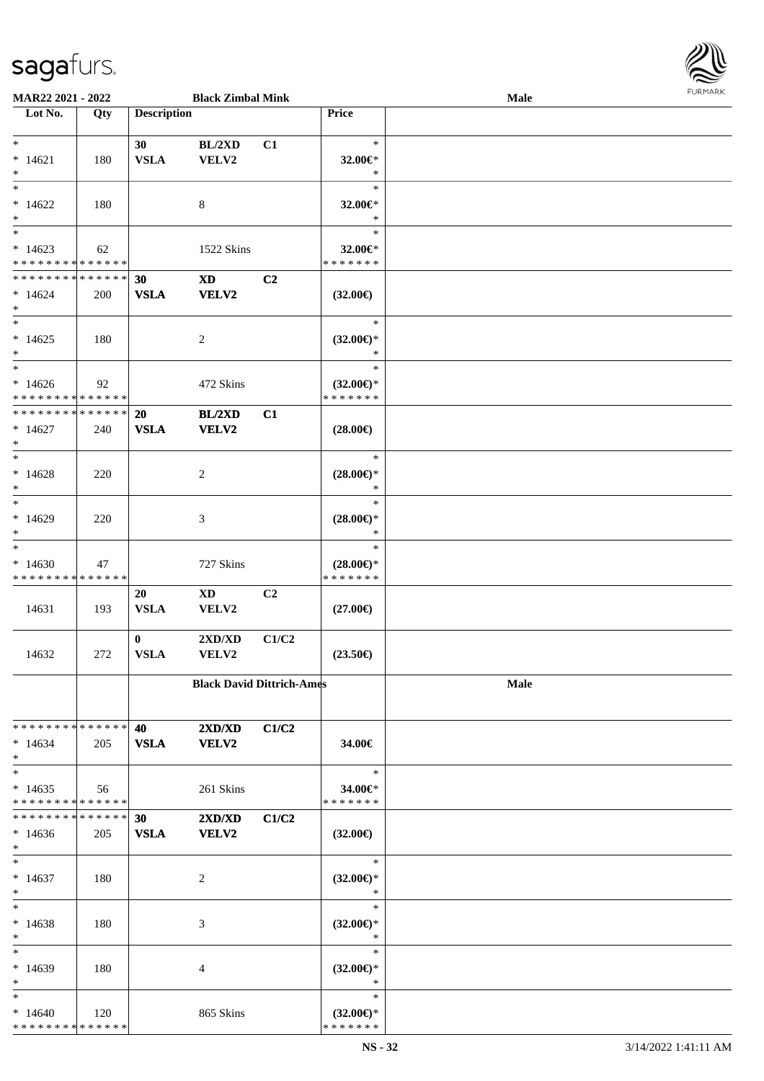| MAR22 2021 - 2022                  |     |                         | <b>Black Zimbal Mink</b>                  |       |                                      | <b>Male</b> | <b>FURMARI</b> |
|------------------------------------|-----|-------------------------|-------------------------------------------|-------|--------------------------------------|-------------|----------------|
| $\overline{\phantom{1}}$ Lot No.   | Qty | <b>Description</b>      |                                           |       | Price                                |             |                |
| $*$                                |     | 30                      | BL/2XD                                    | C1    | $\ast$                               |             |                |
| $* 14621$                          | 180 | <b>VSLA</b>             | VELV2                                     |       | 32.00€*                              |             |                |
| $\ast$                             |     |                         |                                           |       | $\ast$                               |             |                |
| $\ast$                             |     |                         |                                           |       | $\ast$                               |             |                |
| $*14622$                           | 180 |                         | $8\,$                                     |       | 32.00€*                              |             |                |
| $\ast$<br>$\overline{\phantom{0}}$ |     |                         |                                           |       | $\ast$<br>$\ast$                     |             |                |
| $*14623$                           | 62  |                         | 1522 Skins                                |       | 32.00€*                              |             |                |
| * * * * * * * * * * * * * *        |     |                         |                                           |       | * * * * * * *                        |             |                |
| **************                     |     | 30                      | $\mathbf{X}\mathbf{D}$                    | C2    |                                      |             |                |
| $*14624$                           | 200 | <b>VSLA</b>             | VELV2                                     |       | $(32.00\epsilon)$                    |             |                |
| $\ast$                             |     |                         |                                           |       |                                      |             |                |
| $\ast$                             |     |                         |                                           |       | $\ast$                               |             |                |
| $*14625$<br>$\ast$                 | 180 |                         | $\overline{2}$                            |       | $(32.00\epsilon)$ *<br>$\ast$        |             |                |
| $_{\ast}$                          |     |                         |                                           |       | $\ast$                               |             |                |
| $*14626$                           | 92  |                         | 472 Skins                                 |       | $(32.00\epsilon)$ *                  |             |                |
| * * * * * * * * * * * * * *        |     |                         |                                           |       | * * * * * * *                        |             |                |
| * * * * * * * * * * * * * *        |     | 20                      | BL/2XD                                    | C1    |                                      |             |                |
| $*14627$                           | 240 | <b>VSLA</b>             | VELV2                                     |       | $(28.00\epsilon)$                    |             |                |
| $\ast$                             |     |                         |                                           |       |                                      |             |                |
| $\ast$                             |     |                         |                                           |       | $\ast$                               |             |                |
| $*14628$                           | 220 |                         | 2                                         |       | $(28.00\epsilon)$ *                  |             |                |
| $\ast$<br>$\overline{\phantom{0}}$ |     |                         |                                           |       | $\ast$<br>$\ast$                     |             |                |
| $*14629$                           | 220 |                         | $\mathfrak{Z}$                            |       | $(28.00\epsilon)$ *                  |             |                |
| $\ast$                             |     |                         |                                           |       | $\ast$                               |             |                |
| $\ast$                             |     |                         |                                           |       | $\ast$                               |             |                |
| $*14630$                           | 47  |                         | 727 Skins                                 |       | $(28.00\epsilon)$ *                  |             |                |
| * * * * * * * * * * * * * *        |     |                         |                                           |       | * * * * * * *                        |             |                |
|                                    |     | 20                      | $\mathbf{X}\mathbf{D}$                    | C2    |                                      |             |                |
| 14631                              | 193 | <b>VSLA</b>             | VELV2                                     |       | $(27.00\epsilon)$                    |             |                |
|                                    |     |                         |                                           |       |                                      |             |                |
| 14632                              | 272 | $\bf{0}$<br><b>VSLA</b> | $2{\bf X}{\bf D}/{\bf X}{\bf D}$<br>VELV2 | C1/C2 | $(23.50\epsilon)$                    |             |                |
|                                    |     |                         |                                           |       |                                      |             |                |
|                                    |     |                         | <b>Black David Dittrich-Ames</b>          |       |                                      | Male        |                |
|                                    |     |                         |                                           |       |                                      |             |                |
| * * * * * * * * * * * * * * *      |     | 40                      | 2XD/XD                                    | C1/C2 |                                      |             |                |
| $*14634$                           | 205 | <b>VSLA</b>             | <b>VELV2</b>                              |       | 34.00€                               |             |                |
| $\ast$                             |     |                         |                                           |       |                                      |             |                |
| $\ast$                             |     |                         |                                           |       | $\ast$                               |             |                |
| $*14635$                           | 56  |                         | 261 Skins                                 |       | 34.00€*                              |             |                |
| * * * * * * * * * * * * * *        |     |                         |                                           |       | * * * * * * *                        |             |                |
| * * * * * * * * * * * * * *        |     | 30                      | 2XD/XD                                    | C1/C2 |                                      |             |                |
| $*14636$<br>$\ast$                 | 205 | <b>VSLA</b>             | <b>VELV2</b>                              |       | $(32.00\epsilon)$                    |             |                |
| $\ast$                             |     |                         |                                           |       | $\ast$                               |             |                |
| $* 14637$                          | 180 |                         | $\overline{c}$                            |       | $(32.00\epsilon)$ *                  |             |                |
| $\ast$                             |     |                         |                                           |       | $\ast$                               |             |                |
| $\ast$                             |     |                         |                                           |       | $\ast$                               |             |                |
| $*14638$                           | 180 |                         | 3                                         |       | $(32.00\epsilon)$ *                  |             |                |
| $\ast$                             |     |                         |                                           |       | $\ast$                               |             |                |
| $\ast$                             |     |                         |                                           |       | $\ast$                               |             |                |
| $*14639$                           | 180 |                         | 4                                         |       | $(32.00\epsilon)$ *                  |             |                |
| $\ast$                             |     |                         |                                           |       | ∗                                    |             |                |
| $\ast$<br>$*14640$                 | 120 |                         | 865 Skins                                 |       | ∗                                    |             |                |
| * * * * * * * * * * * * * *        |     |                         |                                           |       | $(32.00\epsilon)$ *<br>* * * * * * * |             |                |
|                                    |     |                         |                                           |       |                                      |             |                |

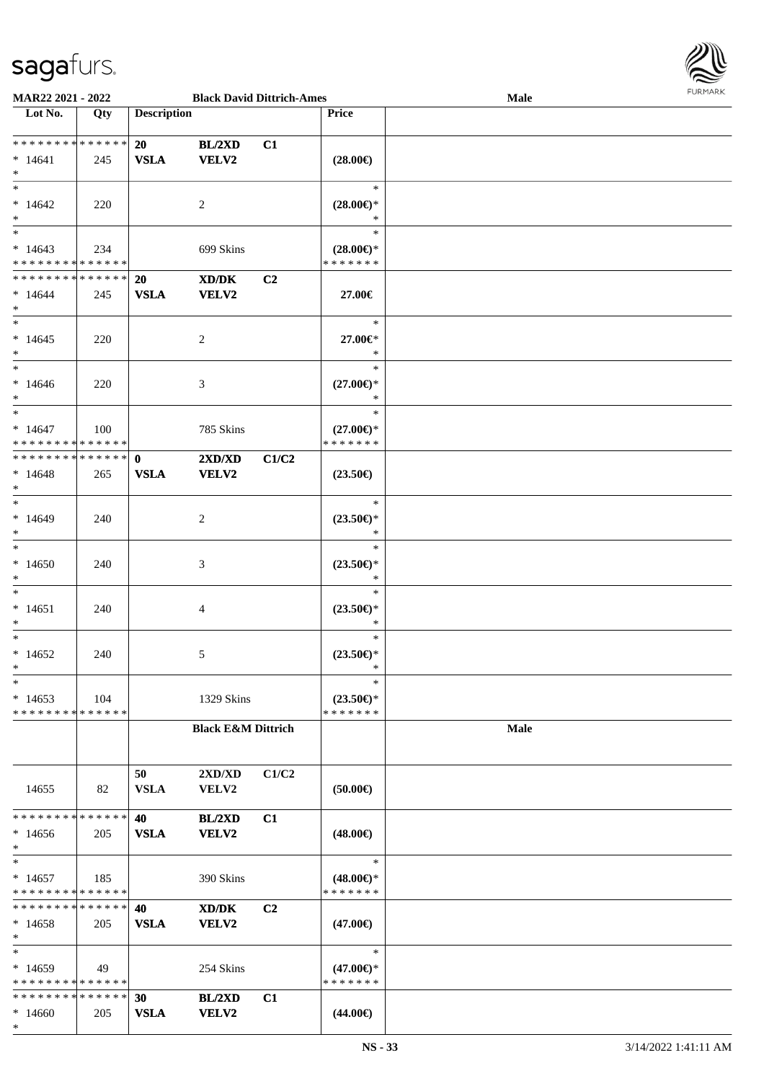

| MAR22 2021 - 2022             |     |                    | <b>Black David Dittrich-Ames</b> |       |                     | <b>Male</b> |  |
|-------------------------------|-----|--------------------|----------------------------------|-------|---------------------|-------------|--|
| Lot No.                       | Qty | <b>Description</b> |                                  |       | Price               |             |  |
|                               |     |                    |                                  |       |                     |             |  |
| * * * * * * * * * * * * * *   |     | 20                 | BL/2XD                           | C1    |                     |             |  |
| $*14641$                      | 245 | <b>VSLA</b>        | VELV2                            |       | $(28.00\epsilon)$   |             |  |
| $\ast$                        |     |                    |                                  |       |                     |             |  |
| $*$                           |     |                    |                                  |       | $\ast$              |             |  |
|                               |     |                    |                                  |       |                     |             |  |
| $*14642$                      | 220 |                    | 2                                |       | $(28.00\epsilon)$ * |             |  |
| $*$                           |     |                    |                                  |       | $\ast$              |             |  |
| $\overline{\phantom{0}}$      |     |                    |                                  |       | $\ast$              |             |  |
| $*14643$                      | 234 |                    | 699 Skins                        |       | $(28.00\epsilon)$ * |             |  |
| * * * * * * * * * * * * * *   |     |                    |                                  |       | * * * * * * *       |             |  |
| * * * * * * * * * * * * * *   |     | <b>20</b>          | XD/DK                            | C2    |                     |             |  |
| $*14644$                      | 245 | <b>VSLA</b>        | <b>VELV2</b>                     |       | 27.00€              |             |  |
| $*$                           |     |                    |                                  |       |                     |             |  |
| $*$                           |     |                    |                                  |       | $\ast$              |             |  |
| $*14645$                      | 220 |                    | 2                                |       | 27.00€*             |             |  |
| $*$                           |     |                    |                                  |       | $\ast$              |             |  |
|                               |     |                    |                                  |       |                     |             |  |
| $*$                           |     |                    |                                  |       | $\ast$              |             |  |
| $*14646$                      | 220 |                    | 3                                |       | $(27.00\epsilon)$ * |             |  |
| $*$                           |     |                    |                                  |       | $\ast$              |             |  |
| $*$                           |     |                    |                                  |       | $\ast$              |             |  |
| $* 14647$                     | 100 |                    | 785 Skins                        |       | $(27.00\epsilon)$ * |             |  |
| * * * * * * * * * * * * * * * |     |                    |                                  |       | * * * * * * *       |             |  |
| ************** 0              |     |                    | 2XD/XD                           | C1/C2 |                     |             |  |
| $*14648$                      | 265 | <b>VSLA</b>        | <b>VELV2</b>                     |       | $(23.50\epsilon)$   |             |  |
| $*$                           |     |                    |                                  |       |                     |             |  |
| $*$                           |     |                    |                                  |       | $\ast$              |             |  |
|                               |     |                    |                                  |       |                     |             |  |
| $*14649$                      | 240 |                    | 2                                |       | $(23.50\epsilon)$ * |             |  |
| $*$                           |     |                    |                                  |       | $\ast$              |             |  |
| $\ast$                        |     |                    |                                  |       | $\ast$              |             |  |
| $*14650$                      | 240 |                    | 3                                |       | $(23.50\epsilon)$ * |             |  |
| $*$                           |     |                    |                                  |       | $\ast$              |             |  |
| $*$                           |     |                    |                                  |       | $\ast$              |             |  |
| $* 14651$                     | 240 |                    | 4                                |       | $(23.50\epsilon)$ * |             |  |
| $\ast$                        |     |                    |                                  |       | $\ast$              |             |  |
| $*$                           |     |                    |                                  |       | $\ast$              |             |  |
|                               |     |                    |                                  |       |                     |             |  |
| $*14652$                      | 240 |                    | 5                                |       | $(23.50\epsilon)$ * |             |  |
| $*$                           |     |                    |                                  |       | $\ast$              |             |  |
| $\ast$                        |     |                    |                                  |       | $\ast$              |             |  |
| $*14653$                      | 104 |                    | 1329 Skins                       |       | $(23.50\epsilon)$ * |             |  |
| * * * * * * * * * * * * * *   |     |                    |                                  |       | * * * * * * *       |             |  |
|                               |     |                    | <b>Black E&amp;M Dittrich</b>    |       |                     | Male        |  |
|                               |     |                    |                                  |       |                     |             |  |
|                               |     |                    |                                  |       |                     |             |  |
|                               |     | 50                 | 2XD/XD                           | C1/C2 |                     |             |  |
| 14655                         | 82  | <b>VSLA</b>        | <b>VELV2</b>                     |       | (50.00)             |             |  |
|                               |     |                    |                                  |       |                     |             |  |
| * * * * * * * * * * * * * * * |     | 40                 | BL/2XD                           | C1    |                     |             |  |
| $*14656$                      |     | <b>VSLA</b>        | <b>VELV2</b>                     |       |                     |             |  |
|                               | 205 |                    |                                  |       | $(48.00\epsilon)$   |             |  |
| $*$                           |     |                    |                                  |       |                     |             |  |
| $\ast$                        |     |                    |                                  |       | $\ast$              |             |  |
| $*14657$                      | 185 |                    | 390 Skins                        |       | $(48.00\epsilon)$ * |             |  |
| * * * * * * * * * * * * * *   |     |                    |                                  |       | * * * * * * *       |             |  |
| * * * * * * * * * * * * * * * |     | 40                 | XD/DK                            | C2    |                     |             |  |
| $*14658$                      | 205 | <b>VSLA</b>        | <b>VELV2</b>                     |       | $(47.00\epsilon)$   |             |  |
| $*$                           |     |                    |                                  |       |                     |             |  |
| $\ast$                        |     |                    |                                  |       | $\ast$              |             |  |
| $*14659$                      | 49  |                    | 254 Skins                        |       | $(47.00\epsilon)$ * |             |  |
| * * * * * * * * * * * * * *   |     |                    |                                  |       | * * * * * * *       |             |  |
| * * * * * * * * * * * * * * * |     | 30                 | BL/2XD                           | C1    |                     |             |  |
| $*14660$                      | 205 | <b>VSLA</b>        | <b>VELV2</b>                     |       | $(44.00\epsilon)$   |             |  |
| $\ast$                        |     |                    |                                  |       |                     |             |  |
|                               |     |                    |                                  |       |                     |             |  |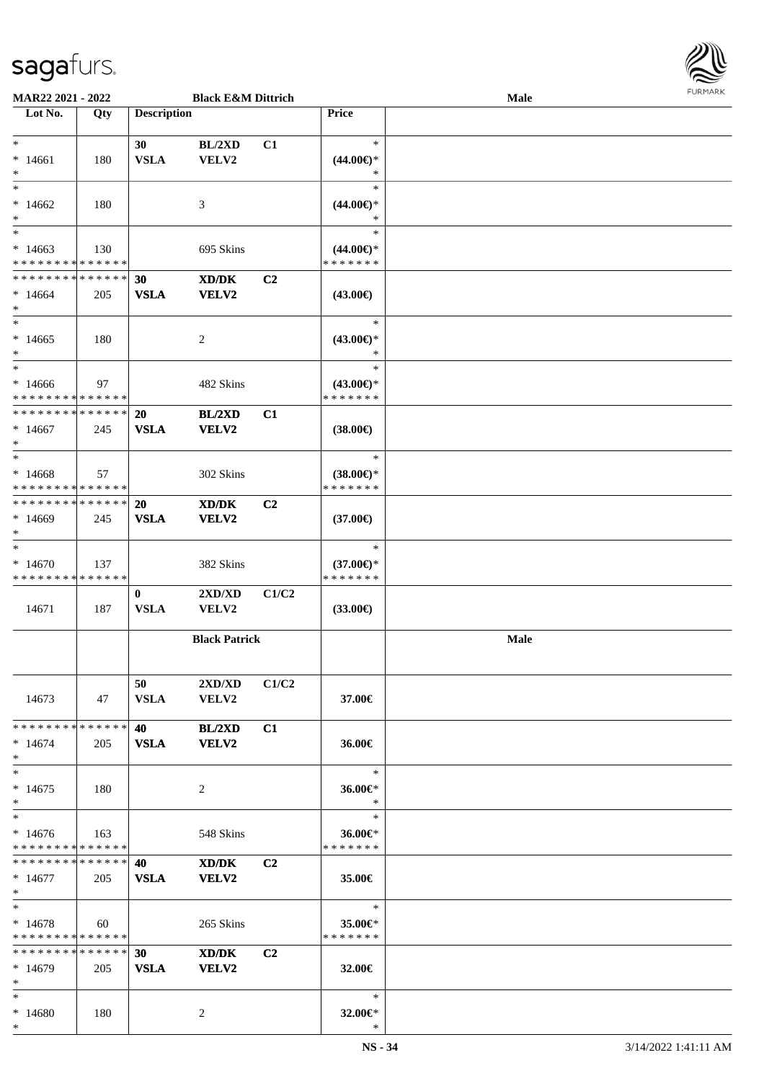\*



| MAR22 2021 - 2022                       |     |                    | <b>Black E&amp;M Dittrich</b> |                |                                      | <b>Male</b> |  |
|-----------------------------------------|-----|--------------------|-------------------------------|----------------|--------------------------------------|-------------|--|
| Lot No.                                 | Qty | <b>Description</b> |                               |                | <b>Price</b>                         |             |  |
|                                         |     |                    |                               |                |                                      |             |  |
| $*$                                     |     | 30                 | BL/2XD                        | C1             | $\ast$                               |             |  |
| $*14661$                                | 180 | <b>VSLA</b>        | VELV2                         |                | $(44.00\epsilon)$ *                  |             |  |
| $\ast$                                  |     |                    |                               |                | ∗                                    |             |  |
| $\ast$                                  |     |                    |                               |                | $\ast$                               |             |  |
| $*14662$                                | 180 |                    | 3                             |                | $(44.00\epsilon)$ *                  |             |  |
| $\ast$                                  |     |                    |                               |                | $\ast$                               |             |  |
| $\overline{\ast}$                       |     |                    |                               |                | $\ast$                               |             |  |
|                                         |     |                    |                               |                |                                      |             |  |
| $*14663$                                | 130 |                    | 695 Skins                     |                | $(44.00\epsilon)$ *                  |             |  |
| * * * * * * * * * * * * * *             |     |                    |                               |                | * * * * * * *                        |             |  |
| * * * * * * * * * * * * * *             |     | 30                 | XD/DK                         | C <sub>2</sub> |                                      |             |  |
| $*14664$                                | 205 | <b>VSLA</b>        | VELV2                         |                | $(43.00\epsilon)$                    |             |  |
| $*$                                     |     |                    |                               |                |                                      |             |  |
| $*$                                     |     |                    |                               |                | $\ast$                               |             |  |
| $*14665$                                | 180 |                    | 2                             |                | $(43.00\epsilon)$ *                  |             |  |
| $\ast$                                  |     |                    |                               |                | $\ast$                               |             |  |
| $*$                                     |     |                    |                               |                | $\ast$                               |             |  |
|                                         |     |                    |                               |                |                                      |             |  |
| $*14666$<br>* * * * * * * * * * * * * * | 97  |                    | 482 Skins                     |                | $(43.00\epsilon)$ *<br>* * * * * * * |             |  |
|                                         |     |                    |                               |                |                                      |             |  |
| * * * * * * * * * * * * * *             |     | 20                 | BL/2XD                        | C1             |                                      |             |  |
| $*14667$                                | 245 | <b>VSLA</b>        | VELV2                         |                | $(38.00\epsilon)$                    |             |  |
| $*$                                     |     |                    |                               |                |                                      |             |  |
| $*$                                     |     |                    |                               |                | $\ast$                               |             |  |
| $*14668$                                | 57  |                    | 302 Skins                     |                | $(38.00\epsilon)$ *                  |             |  |
| * * * * * * * * * * * * * *             |     |                    |                               |                | * * * * * * *                        |             |  |
| * * * * * * * * * * * * * * *           |     | 20                 | XD/DK                         | C <sub>2</sub> |                                      |             |  |
| $*14669$                                | 245 | <b>VSLA</b>        | VELV2                         |                | $(37.00\epsilon)$                    |             |  |
| $*$                                     |     |                    |                               |                |                                      |             |  |
| $\ast$                                  |     |                    |                               |                | $\ast$                               |             |  |
|                                         |     |                    |                               |                |                                      |             |  |
| $*14670$                                | 137 |                    | 382 Skins                     |                | $(37.00\epsilon)$ *                  |             |  |
| * * * * * * * * * * * * * *             |     |                    |                               |                | * * * * * * *                        |             |  |
|                                         |     | $\bf{0}$           | 2XD/XD                        | C1/C2          |                                      |             |  |
| 14671                                   | 187 | <b>VSLA</b>        | VELV2                         |                | $(33.00\epsilon)$                    |             |  |
|                                         |     |                    |                               |                |                                      |             |  |
|                                         |     |                    | <b>Black Patrick</b>          |                |                                      | Male        |  |
|                                         |     |                    |                               |                |                                      |             |  |
|                                         |     |                    |                               |                |                                      |             |  |
|                                         |     | 50                 | 2XD/XD                        | C1/C2          |                                      |             |  |
| 14673                                   | 47  | <b>VSLA</b>        | <b>VELV2</b>                  |                | 37.00€                               |             |  |
|                                         |     |                    |                               |                |                                      |             |  |
| * * * * * * * * * * * * * * *           |     | 40                 | <b>BL/2XD</b>                 | C1             |                                      |             |  |
|                                         |     |                    |                               |                |                                      |             |  |
| $*14674$                                | 205 | <b>VSLA</b>        | <b>VELV2</b>                  |                | 36.00€                               |             |  |
| $*$                                     |     |                    |                               |                |                                      |             |  |
| $*$                                     |     |                    |                               |                | $\ast$                               |             |  |
| $*14675$                                | 180 |                    | 2                             |                | 36.00€*                              |             |  |
| $*$                                     |     |                    |                               |                | $\ast$                               |             |  |
| $*$                                     |     |                    |                               |                | $\ast$                               |             |  |
| $*14676$                                | 163 |                    | 548 Skins                     |                | 36.00€*                              |             |  |
| * * * * * * * * * * * * * *             |     |                    |                               |                | * * * * * * *                        |             |  |
| * * * * * * * * * * * * * * *           |     | 40                 | XD/DK                         | C <sub>2</sub> |                                      |             |  |
| $*14677$                                | 205 | <b>VSLA</b>        | VELV2                         |                | 35.00€                               |             |  |
| $*$                                     |     |                    |                               |                |                                      |             |  |
| $*$                                     |     |                    |                               |                | $\ast$                               |             |  |
|                                         |     |                    |                               |                |                                      |             |  |
| $*14678$                                | 60  |                    | 265 Skins                     |                | 35.00€*                              |             |  |
| * * * * * * * * * * * * * *             |     |                    |                               |                | * * * * * * *                        |             |  |
| * * * * * * * * * * * * * * *           |     | 30                 | XD/DK                         | C <sub>2</sub> |                                      |             |  |
| $*14679$                                | 205 | <b>VSLA</b>        | VELV2                         |                | 32.00 $\in$                          |             |  |
| $*$                                     |     |                    |                               |                |                                      |             |  |
| $*$                                     |     |                    |                               |                | $\ast$                               |             |  |
| $*14680$                                | 180 |                    | 2                             |                | 32.00€*                              |             |  |
| $*$                                     |     |                    |                               |                | $\ast$                               |             |  |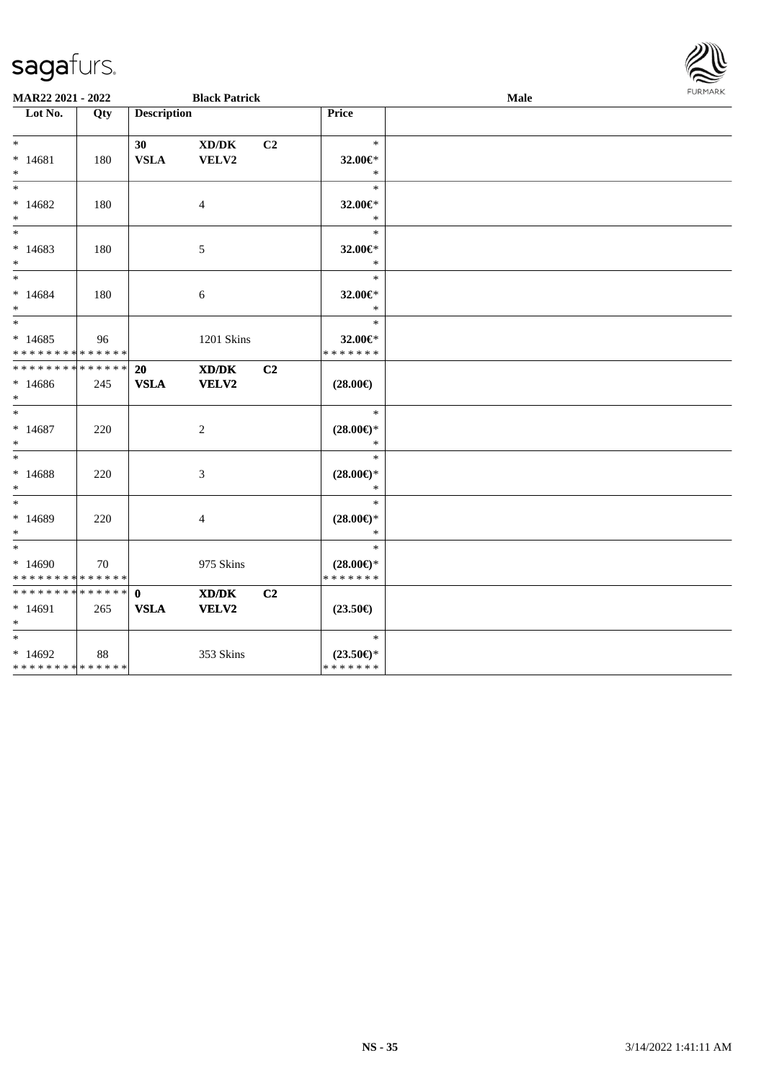| sayarurs.                        |     |                    |                                                            |    |                               |      | $\approx$      |
|----------------------------------|-----|--------------------|------------------------------------------------------------|----|-------------------------------|------|----------------|
| MAR22 2021 - 2022                |     |                    | <b>Black Patrick</b>                                       |    |                               | Male | <b>FURMARK</b> |
| $\overline{\phantom{1}}$ Lot No. | Qty | <b>Description</b> |                                                            |    | <b>Price</b>                  |      |                |
|                                  |     |                    |                                                            |    |                               |      |                |
| $\ast$                           |     | 30                 | $\mathbf{X}\mathbf{D}/\mathbf{D}\mathbf{K}$                | C2 | $\ast$                        |      |                |
| $* 14681$                        | 180 | <b>VSLA</b>        | VELV2                                                      |    | 32.00 $\in$ *                 |      |                |
| $\ast$                           |     |                    |                                                            |    | $\ast$                        |      |                |
| $\ast$                           |     |                    |                                                            |    | $\ast$                        |      |                |
| $*14682$                         | 180 |                    | $\overline{4}$                                             |    | 32.00€*                       |      |                |
| $\ast$                           |     |                    |                                                            |    | $\ast$                        |      |                |
| $\ast$                           |     |                    |                                                            |    | $\ast$                        |      |                |
| $*14683$                         | 180 |                    | $\sqrt{5}$                                                 |    | 32.00€*                       |      |                |
| $\ast$                           |     |                    |                                                            |    | $\ast$                        |      |                |
| $\overline{\phantom{a}^*}$       |     |                    |                                                            |    | $\ast$                        |      |                |
| $* 14684$                        | 180 |                    | 6                                                          |    | 32.00 $\in$ *                 |      |                |
| $*$                              |     |                    |                                                            |    | $\ast$                        |      |                |
| $\ast$                           |     |                    |                                                            |    | $\ast$                        |      |                |
| $*14685$                         | 96  |                    | 1201 Skins                                                 |    | 32.00€*                       |      |                |
| * * * * * * * * * * * * * *      |     |                    |                                                            |    | * * * * * * *                 |      |                |
| * * * * * * * * * * * * * *      |     | 20                 | $\boldsymbol{\text{X} \text{D} \text{/}\text{D} \text{K}}$ | C2 |                               |      |                |
| $*14686$                         | 245 | <b>VSLA</b>        | VELV2                                                      |    | $(28.00\epsilon)$             |      |                |
| $\ast$<br>$\ast$                 |     |                    |                                                            |    | $\ast$                        |      |                |
|                                  |     |                    |                                                            |    |                               |      |                |
| $*14687$<br>$\ast$               | 220 |                    | 2                                                          |    | $(28.00\epsilon)$ *<br>$\ast$ |      |                |
| $\ast$                           |     |                    |                                                            |    | $\ast$                        |      |                |
|                                  |     |                    |                                                            |    |                               |      |                |
| $* 14688$<br>$\ast$              | 220 |                    | 3                                                          |    | $(28.00\epsilon)$ *<br>$\ast$ |      |                |
| $\ast$                           |     |                    |                                                            |    | $\ast$                        |      |                |
| $*14689$                         | 220 |                    | $\overline{4}$                                             |    | $(28.00\epsilon)$ *           |      |                |
| $\ast$                           |     |                    |                                                            |    | $\ast$                        |      |                |
| $\ast$                           |     |                    |                                                            |    | $\ast$                        |      |                |
| $*14690$                         | 70  |                    | 975 Skins                                                  |    | $(28.00\epsilon)$ *           |      |                |
| * * * * * * * * * * * * * *      |     |                    |                                                            |    | * * * * * * *                 |      |                |
| * * * * * * * * * * * * * * *    |     | $\mathbf{0}$       | $\boldsymbol{\text{X} \text{D} \text{/}\text{D} \text{K}}$ | C2 |                               |      |                |
| $* 14691$                        | 265 | <b>VSLA</b>        | VELV2                                                      |    | $(23.50\epsilon)$             |      |                |
| $*$                              |     |                    |                                                            |    |                               |      |                |
| $*$                              |     |                    |                                                            |    | $\ast$                        |      |                |
| $*14692$                         | 88  |                    | 353 Skins                                                  |    | $(23.50\epsilon)$ *           |      |                |
| **************                   |     |                    |                                                            |    | * * * * * * *                 |      |                |

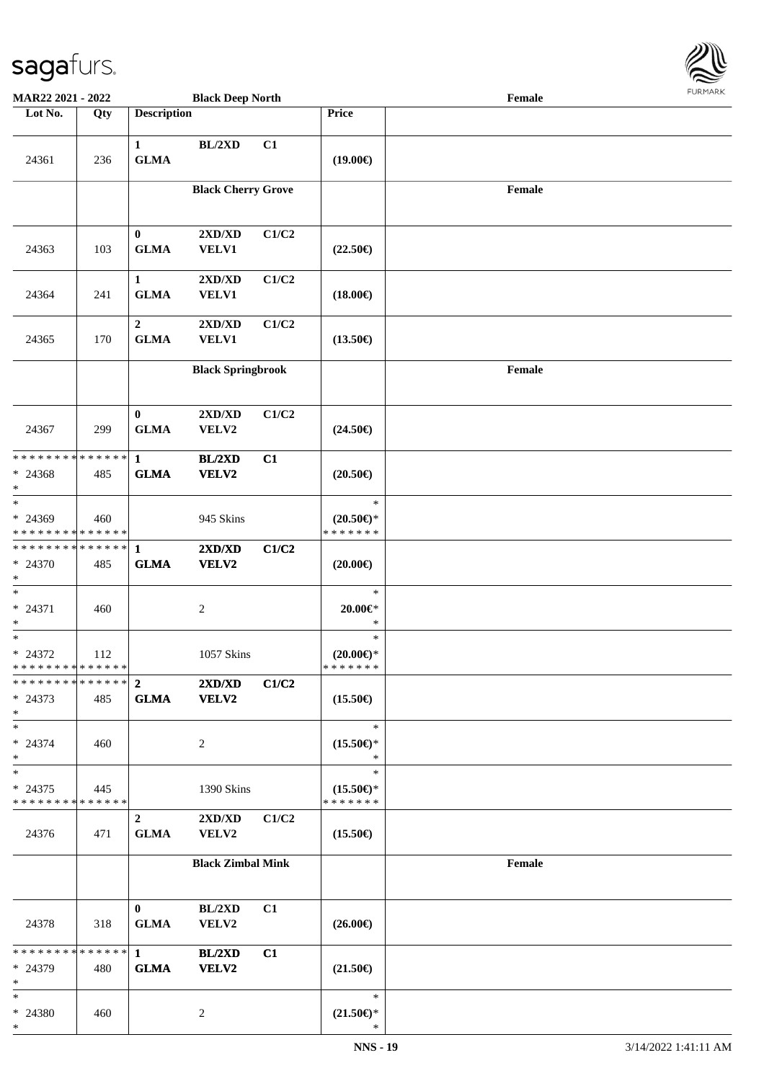

| MAR22 2021 - 2022                                    |                   |                                 | <b>Black Deep North</b>       |       |                                                | Female |  |
|------------------------------------------------------|-------------------|---------------------------------|-------------------------------|-------|------------------------------------------------|--------|--|
| Lot No.                                              | $\overline{Q}$ ty | <b>Description</b>              |                               |       | Price                                          |        |  |
| 24361                                                | 236               | $\mathbf{1}$<br><b>GLMA</b>     | $BL/2XD$                      | C1    | $(19.00\epsilon)$                              |        |  |
|                                                      |                   |                                 | <b>Black Cherry Grove</b>     |       |                                                | Female |  |
| 24363                                                | 103               | $\bf{0}$<br><b>GLMA</b>         | 2XD/XD<br>VELV1               | C1/C2 | $(22.50\epsilon)$                              |        |  |
| 24364                                                | 241               | $\mathbf{1}$<br><b>GLMA</b>     | 2XD/XD<br>VELV1               | C1/C2 | $(18.00\epsilon)$                              |        |  |
| 24365                                                | 170               | $\boldsymbol{2}$<br><b>GLMA</b> | 2XD/XD<br>VELV1               | C1/C2 | $(13.50\epsilon)$                              |        |  |
|                                                      |                   |                                 | <b>Black Springbrook</b>      |       |                                                | Female |  |
| 24367                                                | 299               | $\bf{0}$<br><b>GLMA</b>         | 2XD/XD<br>VELV2               | C1/C2 | $(24.50\epsilon)$                              |        |  |
| * * * * * * * * * * * * * * *<br>$* 24368$<br>$\ast$ | 485               | $\mathbf{1}$<br><b>GLMA</b>     | BL/2XD<br>VELV2               | C1    | $(20.50\epsilon)$                              |        |  |
| $\ast$<br>* 24369<br>* * * * * * * * * * * * * *     | 460               |                                 | 945 Skins                     |       | $\ast$<br>$(20.50\epsilon)$ *<br>* * * * * * * |        |  |
| ******** <mark>******</mark><br>* 24370<br>$*$       | 485               | $\mathbf{1}$<br><b>GLMA</b>     | 2XD/XD<br>VELV2               | C1/C2 | $(20.00\epsilon)$                              |        |  |
| $\ast$<br>* 24371<br>$\ast$                          | 460               |                                 | $\boldsymbol{2}$              |       | $\ast$<br>$20.00 \in$ *<br>$\ast$              |        |  |
| $\ast$<br>$* 24372$<br>* * * * * * * * * * * * * * * | 112               |                                 | 1057 Skins                    |       | $\ast$<br>$(20.00\epsilon)$ *<br>* * * * * * * |        |  |
| * * * * * * * * * * * * * * *<br>$* 24373$<br>$*$    | 485               | $\overline{2}$<br><b>GLMA</b>   | 2XD/XD<br><b>VELV2</b>        | C1/C2 | $(15.50\epsilon)$                              |        |  |
| $*$<br>$* 24374$<br>$*$                              | 460               |                                 | 2                             |       | $\ast$<br>$(15.50\epsilon)$ *<br>$\ast$        |        |  |
| $\ast$<br>$* 24375$<br>* * * * * * * * * * * * * *   | 445               |                                 | 1390 Skins                    |       | $\ast$<br>$(15.50\epsilon)$ *<br>* * * * * * * |        |  |
| 24376                                                | 471               | $\overline{2}$<br><b>GLMA</b>   | 2XD/XD<br>VELV2               | C1/C2 | $(15.50\epsilon)$                              |        |  |
|                                                      |                   |                                 | <b>Black Zimbal Mink</b>      |       |                                                | Female |  |
| 24378                                                | 318               | $\mathbf{0}$<br><b>GLMA</b>     | BL/2XD<br>VELV2               | C1    | $(26.00\epsilon)$                              |        |  |
| * * * * * * * * * * * * * * *<br>* 24379<br>$*$      | 480               | $\mathbf{1}$<br><b>GLMA</b>     | <b>BL/2XD</b><br><b>VELV2</b> | C1    | $(21.50\epsilon)$                              |        |  |
| $*$<br>* 24380<br>$*$                                | 460               |                                 | 2                             |       | $\ast$<br>$(21.50\epsilon)$ *<br>$\ast$        |        |  |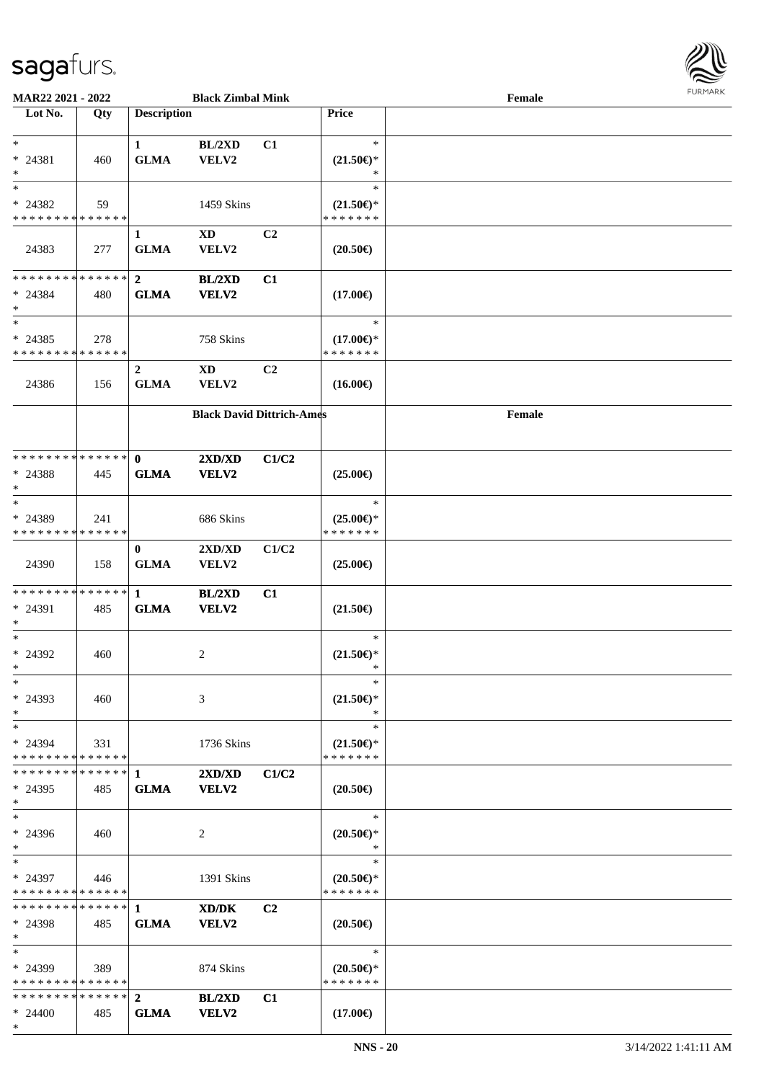

| MAR22 2021 - 2022              |     |                    | <b>Black Zimbal Mink</b>                    |                |                           | Female | 1.911171777 |
|--------------------------------|-----|--------------------|---------------------------------------------|----------------|---------------------------|--------|-------------|
| Lot No.                        | Qty | <b>Description</b> |                                             |                | <b>Price</b>              |        |             |
|                                |     |                    |                                             |                |                           |        |             |
| $*$                            |     | $\mathbf{1}$       | BL/2XD                                      | C1             | $\ast$                    |        |             |
| $* 24381$                      | 460 | <b>GLMA</b>        | VELV2                                       |                | $(21.50\epsilon)$ *       |        |             |
| $\ast$                         |     |                    |                                             |                | *                         |        |             |
| $\overline{\phantom{1}}$       |     |                    |                                             |                | $\ast$                    |        |             |
| * 24382                        | 59  |                    | 1459 Skins                                  |                | $(21.50\epsilon)$ *       |        |             |
| * * * * * * * * * * * * * *    |     |                    |                                             |                | * * * * * * *             |        |             |
|                                |     | $\mathbf{1}$       | $\mathbf{X}\mathbf{D}$                      | C2             |                           |        |             |
| 24383                          | 277 | <b>GLMA</b>        | VELV2                                       |                | $(20.50\epsilon)$         |        |             |
|                                |     |                    |                                             |                |                           |        |             |
| * * * * * * * * * * * * * *    |     | $\boldsymbol{2}$   | BL/2XD                                      | C1             |                           |        |             |
| $* 24384$                      | 480 | <b>GLMA</b>        | VELV2                                       |                | $(17.00\epsilon)$         |        |             |
| $\ast$                         |     |                    |                                             |                |                           |        |             |
| $\overline{\phantom{1}}$       |     |                    |                                             |                | $\ast$                    |        |             |
| $* 24385$                      | 278 |                    | 758 Skins                                   |                | $(17.00\epsilon)$ *       |        |             |
| * * * * * * * * * * * * * *    |     |                    |                                             |                | * * * * * * *             |        |             |
|                                |     | $\boldsymbol{2}$   | $\mathbf{X}\mathbf{D}$                      | C <sub>2</sub> |                           |        |             |
| 24386                          | 156 | <b>GLMA</b>        | VELV2                                       |                | $(16.00\epsilon)$         |        |             |
|                                |     |                    |                                             |                |                           |        |             |
|                                |     |                    | <b>Black David Dittrich-Ames</b>            |                |                           | Female |             |
|                                |     |                    |                                             |                |                           |        |             |
|                                |     |                    |                                             |                |                           |        |             |
| * * * * * * * * * * * * * *    |     | $\mathbf{0}$       | 2XD/XD                                      | C1/C2          |                           |        |             |
| $* 24388$                      | 445 | <b>GLMA</b>        | VELV2                                       |                | $(25.00\epsilon)$         |        |             |
| $\ast$                         |     |                    |                                             |                |                           |        |             |
| $\ast$                         |     |                    |                                             |                | $\ast$                    |        |             |
| * 24389                        | 241 |                    | 686 Skins                                   |                | $(25.00\epsilon)$ *       |        |             |
| * * * * * * * * * * * * * *    |     |                    |                                             |                | * * * * * * *             |        |             |
|                                |     | $\bf{0}$           | 2XD/XD                                      | C1/C2          |                           |        |             |
| 24390                          | 158 | <b>GLMA</b>        | VELV2                                       |                | $(25.00\epsilon)$         |        |             |
|                                |     |                    |                                             |                |                           |        |             |
| * * * * * * * * * * * * * *    |     | $\mathbf{1}$       | BL/2XD                                      | C1             |                           |        |             |
| * 24391                        | 485 | <b>GLMA</b>        | VELV2                                       |                | $(21.50\epsilon)$         |        |             |
| $*$                            |     |                    |                                             |                |                           |        |             |
| $*$                            |     |                    |                                             |                | $\ast$                    |        |             |
| * 24392                        | 460 |                    | $\overline{c}$                              |                | $(21.50 \in )^*$          |        |             |
| $*$                            |     |                    |                                             |                |                           |        |             |
| $*$                            |     |                    |                                             |                | $\ast$                    |        |             |
| $* 24393$                      | 460 |                    | 3                                           |                | $(21.50\epsilon)$ *       |        |             |
| $\ast$                         |     |                    |                                             |                | $\ast$                    |        |             |
| $\ast$                         |     |                    |                                             |                | $\ast$                    |        |             |
| $* 24394$                      | 331 |                    | 1736 Skins                                  |                | $(21.50\epsilon)$ *       |        |             |
| * * * * * * * * * * * * * *    |     |                    |                                             |                | * * * * * * *             |        |             |
| * * * * * * * * * * * * * * *  |     | $\mathbf{1}$       | 2XD/XD                                      | C1/C2          |                           |        |             |
| $* 24395$                      | 485 | <b>GLMA</b>        | <b>VELV2</b>                                |                | $(20.50\epsilon)$         |        |             |
| $*$                            |     |                    |                                             |                |                           |        |             |
| $\ast$                         |     |                    |                                             |                | $\ast$                    |        |             |
| * 24396                        | 460 |                    | 2                                           |                | $(20.50 \in )^*$          |        |             |
| $\ast$                         |     |                    |                                             |                | $\ast$                    |        |             |
| $\ast$                         |     |                    |                                             |                | $\ast$                    |        |             |
| $*$ 24397                      | 446 |                    | 1391 Skins                                  |                | $(20.50\epsilon)$ *       |        |             |
| * * * * * * * * * * * * * *    |     |                    |                                             |                | * * * * * * *             |        |             |
| ******** <mark>******</mark> 1 |     |                    | $\mathbf{X}\mathbf{D}/\mathbf{D}\mathbf{K}$ | C <sub>2</sub> |                           |        |             |
| * 24398                        | 485 | <b>GLMA</b>        | <b>VELV2</b>                                |                | $(20.50\epsilon)$         |        |             |
| $*$                            |     |                    |                                             |                |                           |        |             |
| $*$                            |     |                    |                                             |                | $\ast$                    |        |             |
| * 24399                        | 389 |                    | 874 Skins                                   |                | $(20.50 \in \mathcal{F})$ |        |             |
| * * * * * * * * * * * * * *    |     |                    |                                             |                | * * * * * * *             |        |             |
| * * * * * * * * * * * * * *    |     | $\mathbf{2}$       | BL/2XD                                      | C1             |                           |        |             |
| $* 24400$                      | 485 | <b>GLMA</b>        | VELV2                                       |                | $(17.00\epsilon)$         |        |             |
| $*$                            |     |                    |                                             |                |                           |        |             |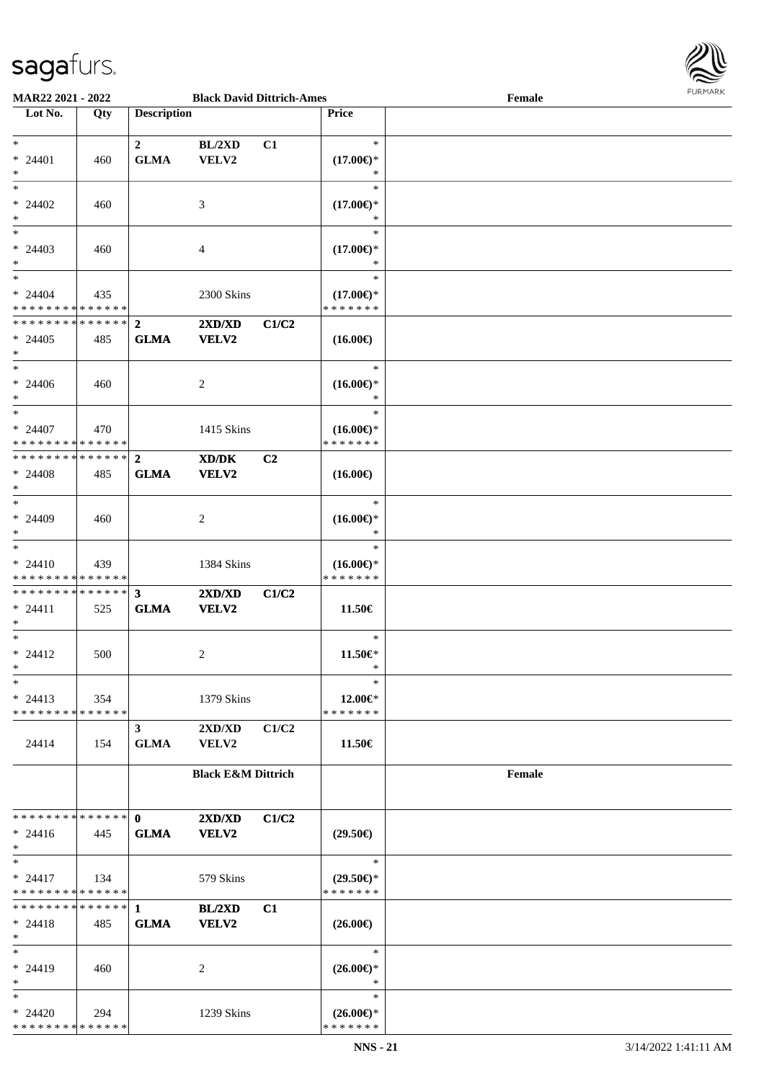

| MAR22 2021 - 2022              |     |                    | <b>Black David Dittrich-Ames</b>            |       |                                      | Female | <b>FUNITANN</b> |
|--------------------------------|-----|--------------------|---------------------------------------------|-------|--------------------------------------|--------|-----------------|
| Lot No.                        | Qty | <b>Description</b> |                                             |       | <b>Price</b>                         |        |                 |
|                                |     |                    |                                             |       |                                      |        |                 |
| $*$                            |     | $\mathbf{2}$       | BL/2XD                                      | C1    | $\ast$                               |        |                 |
| $* 24401$                      | 460 | <b>GLMA</b>        | VELV2                                       |       | $(17.00\epsilon)$ *                  |        |                 |
| $\ast$                         |     |                    |                                             |       | $\ast$                               |        |                 |
| $\ast$                         |     |                    |                                             |       | $\ast$                               |        |                 |
| $* 24402$                      | 460 |                    | 3                                           |       | $(17.00\epsilon)$ *                  |        |                 |
| $\ast$                         |     |                    |                                             |       | $\ast$                               |        |                 |
| $\ast$                         |     |                    |                                             |       | $\ast$                               |        |                 |
| $* 24403$                      | 460 |                    | 4                                           |       | $(17.00\epsilon)$ *                  |        |                 |
| $\ast$                         |     |                    |                                             |       | $\ast$                               |        |                 |
| $*$                            |     |                    |                                             |       | $\ast$                               |        |                 |
| $* 24404$                      |     |                    |                                             |       |                                      |        |                 |
| * * * * * * * * * * * * * *    | 435 |                    | 2300 Skins                                  |       | $(17.00\epsilon)$ *<br>* * * * * * * |        |                 |
|                                |     |                    |                                             |       |                                      |        |                 |
| * * * * * * * * * * * * * * *  |     | $\overline{2}$     | 2XD/XD                                      | C1/C2 |                                      |        |                 |
| $* 24405$                      | 485 | <b>GLMA</b>        | VELV2                                       |       | $(16.00\epsilon)$                    |        |                 |
| $*$                            |     |                    |                                             |       |                                      |        |                 |
| $*$                            |     |                    |                                             |       | $\ast$                               |        |                 |
| $* 24406$                      | 460 |                    | 2                                           |       | $(16.00\epsilon)$ *                  |        |                 |
| $*$                            |     |                    |                                             |       | $\ast$                               |        |                 |
| $*$                            |     |                    |                                             |       | $\ast$                               |        |                 |
| $* 24407$                      | 470 |                    | 1415 Skins                                  |       | $(16.00\epsilon)$ *                  |        |                 |
| * * * * * * * * * * * * * *    |     |                    |                                             |       | * * * * * * *                        |        |                 |
| * * * * * * * * * * * * * * *  |     | $\mathbf{2}$       | $\mathbf{X}\mathbf{D}/\mathbf{D}\mathbf{K}$ | C2    |                                      |        |                 |
| $* 24408$                      | 485 | <b>GLMA</b>        | VELV2                                       |       | $(16.00\epsilon)$                    |        |                 |
| $*$                            |     |                    |                                             |       |                                      |        |                 |
| $\ast$                         |     |                    |                                             |       | $\ast$                               |        |                 |
| * 24409                        | 460 |                    | 2                                           |       | $(16.00\epsilon)$ *                  |        |                 |
| $*$                            |     |                    |                                             |       | $\ast$                               |        |                 |
| $*$                            |     |                    |                                             |       | $\ast$                               |        |                 |
| $* 24410$                      | 439 |                    | 1384 Skins                                  |       | $(16.00\epsilon)$ *                  |        |                 |
| * * * * * * * * * * * * * *    |     |                    |                                             |       | * * * * * * *                        |        |                 |
| * * * * * * * * * * * * * * *  |     | $\mathbf{3}$       | 2XD/XD                                      | C1/C2 |                                      |        |                 |
| $* 24411$                      | 525 | <b>GLMA</b>        | VELV2                                       |       | 11.50€                               |        |                 |
| $*$                            |     |                    |                                             |       |                                      |        |                 |
| $*$                            |     |                    |                                             |       | $\ast$                               |        |                 |
| $* 24412$                      | 500 |                    |                                             |       | 11.50€*                              |        |                 |
| $*$                            |     |                    | $\overline{c}$                              |       | $\ast$                               |        |                 |
| $\ast$                         |     |                    |                                             |       | $\ast$                               |        |                 |
|                                |     |                    |                                             |       |                                      |        |                 |
| $* 24413$                      | 354 |                    | 1379 Skins                                  |       | 12.00€*                              |        |                 |
| * * * * * * * * * * * * * * *  |     |                    |                                             |       | * * * * * * *                        |        |                 |
|                                |     | $\mathbf{3}$       | $2{\bf X}{\bf D}/{\bf X}{\bf D}$            | C1/C2 |                                      |        |                 |
| 24414                          | 154 | <b>GLMA</b>        | <b>VELV2</b>                                |       | 11.50€                               |        |                 |
|                                |     |                    |                                             |       |                                      |        |                 |
|                                |     |                    | <b>Black E&amp;M Dittrich</b>               |       |                                      | Female |                 |
|                                |     |                    |                                             |       |                                      |        |                 |
|                                |     |                    |                                             |       |                                      |        |                 |
| * * * * * * * * * * * * * * *  |     | $\mathbf{0}$       | 2XD/XD                                      | C1/C2 |                                      |        |                 |
| $* 24416$                      | 445 | <b>GLMA</b>        | VELV2                                       |       | $(29.50\epsilon)$                    |        |                 |
| $*$                            |     |                    |                                             |       |                                      |        |                 |
| $*$                            |     |                    |                                             |       | $\ast$                               |        |                 |
| $* 24417$                      | 134 |                    | 579 Skins                                   |       | $(29.50\epsilon)$ *                  |        |                 |
| * * * * * * * * * * * * * *    |     |                    |                                             |       | * * * * * * *                        |        |                 |
| ******** <mark>******</mark> 1 |     |                    | $BL/2XD$                                    | C1    |                                      |        |                 |
| $* 24418$                      | 485 | <b>GLMA</b>        | VELV2                                       |       | $(26.00\epsilon)$                    |        |                 |
| $*$                            |     |                    |                                             |       |                                      |        |                 |
| $*$                            |     |                    |                                             |       | $\ast$                               |        |                 |
| $* 24419$                      | 460 |                    | 2                                           |       | $(26.00\epsilon)$ *                  |        |                 |
| $*$                            |     |                    |                                             |       | $\ast$                               |        |                 |
| $*$                            |     |                    |                                             |       | $\ast$                               |        |                 |
| $* 24420$                      | 294 |                    | 1239 Skins                                  |       | $(26.00\epsilon)$ *                  |        |                 |
| * * * * * * * * * * * * * *    |     |                    |                                             |       | * * * * * * *                        |        |                 |
|                                |     |                    |                                             |       |                                      |        |                 |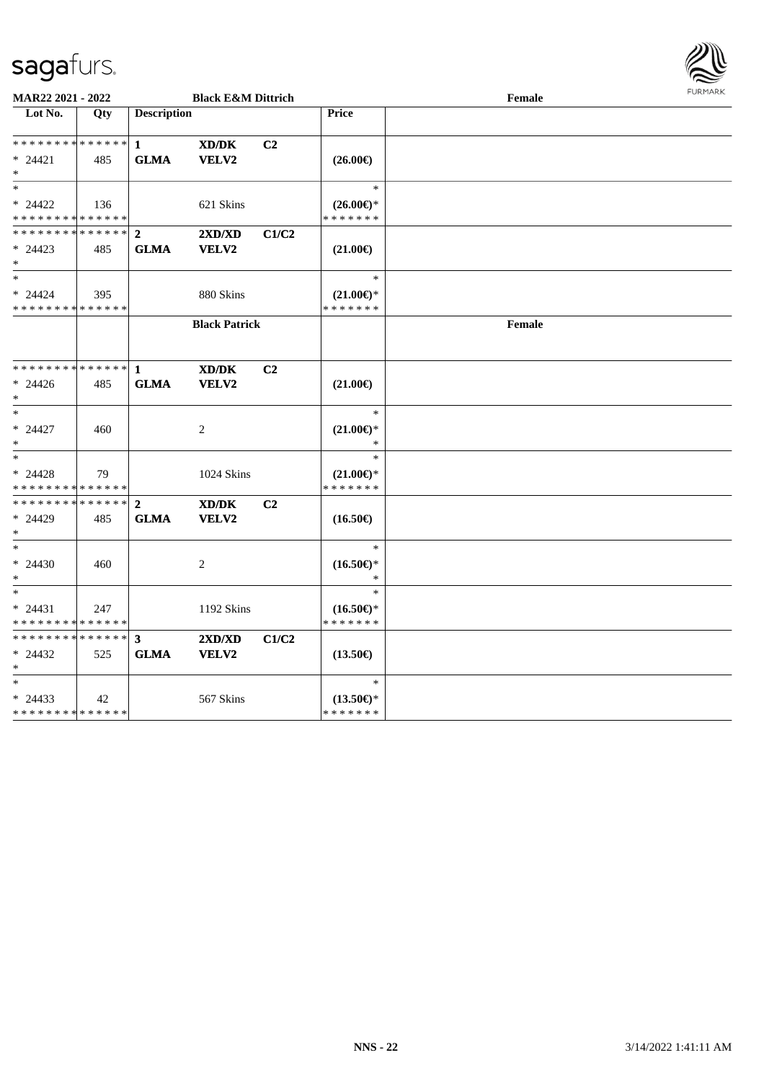

| MAR22 2021 - 2022                                                      |     |                               | <b>Black E&amp;M Dittrich</b>                               |                |                                                | Female | <b>FURMARK</b> |
|------------------------------------------------------------------------|-----|-------------------------------|-------------------------------------------------------------|----------------|------------------------------------------------|--------|----------------|
| Lot No.                                                                | Qty | <b>Description</b>            |                                                             |                | Price                                          |        |                |
| ******** <mark>******</mark><br>$* 24421$<br>$*$                       | 485 | $\mathbf{1}$<br><b>GLMA</b>   | XD/DK<br>VELV2                                              | C2             | $(26.00\epsilon)$                              |        |                |
| $\ast$<br>$* 24422$<br>* * * * * * * * * * * * * *                     | 136 |                               | 621 Skins                                                   |                | $\ast$<br>$(26.00\epsilon)$ *<br>* * * * * * * |        |                |
| **************<br>$* 24423$<br>$\ast$                                  | 485 | $\overline{2}$<br><b>GLMA</b> | 2XD/XD<br>VELV2                                             | C1/C2          | $(21.00\in)$                                   |        |                |
| $\ast$<br>$* 24424$<br>* * * * * * * * * * * * * *                     | 395 |                               | 880 Skins                                                   |                | $\ast$<br>$(21.00\epsilon)$ *<br>* * * * * * * |        |                |
|                                                                        |     |                               | <b>Black Patrick</b>                                        |                |                                                | Female |                |
| ******** <mark>******</mark><br>$* 24426$<br>*                         | 485 | 1<br><b>GLMA</b>              | $\mathbf{X}\mathbf{D}/\mathbf{D}\mathbf{K}$<br><b>VELV2</b> | C <sub>2</sub> | $(21.00\epsilon)$                              |        |                |
| $\ast$<br>$* 24427$<br>$\ast$                                          | 460 |                               | 2                                                           |                | $\ast$<br>$(21.00\epsilon)$ *                  |        |                |
| $\overline{\phantom{a}^*}$<br>$* 24428$<br>* * * * * * * * * * * * * * | 79  |                               | 1024 Skins                                                  |                | $\ast$<br>$(21.00\epsilon)$ *<br>* * * * * * * |        |                |
| * * * * * * * * * * * * * * *<br>$* 24429$<br>$\ast$                   | 485 | $\mathbf{2}$<br><b>GLMA</b>   | XD/DK<br><b>VELV2</b>                                       | C <sub>2</sub> | $(16.50\epsilon)$                              |        |                |
| $\ast$<br>$* 24430$<br>$\ast$                                          | 460 |                               | 2                                                           |                | $\ast$<br>$(16.50\epsilon)$ *                  |        |                |
| $\overline{\ast}$<br>$* 24431$<br>* * * * * * * * * * * * * *          | 247 |                               | 1192 Skins                                                  |                | $\ast$<br>$(16.50\epsilon)$ *<br>* * * * * * * |        |                |
| ******** <mark>******</mark><br>$* 24432$<br>$*$                       | 525 | $\mathbf{3}$<br><b>GLMA</b>   | 2XD/XD<br>VELV2                                             | C1/C2          | $(13.50\epsilon)$                              |        |                |
| $\ast$<br>$* 24433$<br>**************                                  | 42  |                               | 567 Skins                                                   |                | $\ast$<br>$(13.50\epsilon)$ *<br>* * * * * * * |        |                |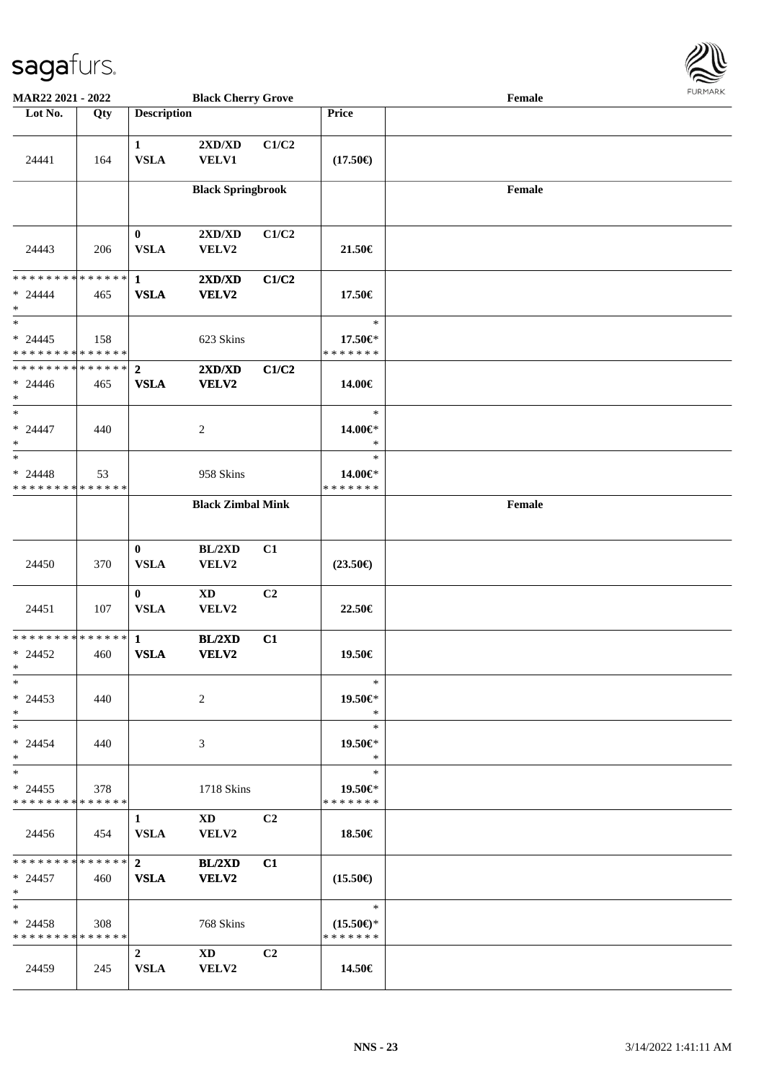

| <b>MAR22 2021 - 2022</b>                   |     |                             | <b>Black Cherry Grove</b>                                                                                                                                                                                                      |                |                     | Female |  |
|--------------------------------------------|-----|-----------------------------|--------------------------------------------------------------------------------------------------------------------------------------------------------------------------------------------------------------------------------|----------------|---------------------|--------|--|
| Lot No.                                    | Qty | <b>Description</b>          |                                                                                                                                                                                                                                |                | Price               |        |  |
|                                            |     |                             |                                                                                                                                                                                                                                |                |                     |        |  |
|                                            |     | $\mathbf{1}$                | $2{\bf X}{\bf D}/{\bf X}{\bf D}$                                                                                                                                                                                               | C1/C2          |                     |        |  |
| 24441                                      | 164 | <b>VSLA</b>                 | VELV1                                                                                                                                                                                                                          |                | $(17.50\epsilon)$   |        |  |
|                                            |     |                             |                                                                                                                                                                                                                                |                |                     |        |  |
|                                            |     |                             | <b>Black Springbrook</b>                                                                                                                                                                                                       |                |                     | Female |  |
|                                            |     |                             |                                                                                                                                                                                                                                |                |                     |        |  |
|                                            |     | $\bf{0}$                    | $2{\bf X}{\bf D}/{\bf X}{\bf D}$                                                                                                                                                                                               | C1/C2          |                     |        |  |
| 24443                                      | 206 | <b>VSLA</b>                 | VELV2                                                                                                                                                                                                                          |                | 21.50€              |        |  |
|                                            |     |                             |                                                                                                                                                                                                                                |                |                     |        |  |
| * * * * * * * * * * * * * * *              |     | $\mathbf{1}$                | 2XD/XD                                                                                                                                                                                                                         | C1/C2          |                     |        |  |
| $* 24444$<br>$\ast$                        | 465 | <b>VSLA</b>                 | VELV2                                                                                                                                                                                                                          |                | 17.50€              |        |  |
| $*$                                        |     |                             |                                                                                                                                                                                                                                |                | $\ast$              |        |  |
| $* 24445$                                  | 158 |                             | 623 Skins                                                                                                                                                                                                                      |                | 17.50€*             |        |  |
| * * * * * * * * * * * * * * *              |     |                             |                                                                                                                                                                                                                                |                | * * * * * * *       |        |  |
| * * * * * * * * * * * * * * *              |     | $\overline{2}$              | 2XD/XD                                                                                                                                                                                                                         | C1/C2          |                     |        |  |
| $* 24446$                                  | 465 | <b>VSLA</b>                 | VELV2                                                                                                                                                                                                                          |                | 14.00€              |        |  |
| $*$                                        |     |                             |                                                                                                                                                                                                                                |                |                     |        |  |
| $*$<br>$* 24447$                           |     |                             |                                                                                                                                                                                                                                |                | $\ast$              |        |  |
| $\ast$                                     | 440 |                             | 2                                                                                                                                                                                                                              |                | 14.00€*<br>$\ast$   |        |  |
| $*$                                        |     |                             |                                                                                                                                                                                                                                |                | $\ast$              |        |  |
| $* 24448$                                  | 53  |                             | 958 Skins                                                                                                                                                                                                                      |                | 14.00€*             |        |  |
| * * * * * * * * * * * * * *                |     |                             |                                                                                                                                                                                                                                |                | * * * * * * *       |        |  |
|                                            |     |                             | <b>Black Zimbal Mink</b>                                                                                                                                                                                                       |                |                     | Female |  |
|                                            |     |                             |                                                                                                                                                                                                                                |                |                     |        |  |
|                                            |     | $\mathbf{0}$                | BL/2XD                                                                                                                                                                                                                         | C1             |                     |        |  |
| 24450                                      | 370 | <b>VSLA</b>                 | VELV2                                                                                                                                                                                                                          |                | $(23.50\epsilon)$   |        |  |
|                                            |     |                             |                                                                                                                                                                                                                                |                |                     |        |  |
|                                            |     | $\bf{0}$                    | $\mathbf{X}\mathbf{D}$                                                                                                                                                                                                         | C2             |                     |        |  |
| 24451                                      | 107 | <b>VSLA</b>                 | VELV2                                                                                                                                                                                                                          |                | 22.50€              |        |  |
| ******** <mark>******</mark>               |     |                             |                                                                                                                                                                                                                                |                |                     |        |  |
| $* 24452$                                  | 460 | $\mathbf{1}$<br><b>VSLA</b> | BL/2XD<br>VELV2                                                                                                                                                                                                                | C1             | 19.50€              |        |  |
| $*$                                        |     |                             |                                                                                                                                                                                                                                |                |                     |        |  |
| $*$                                        |     |                             |                                                                                                                                                                                                                                |                | $\ast$              |        |  |
| $* 24453$                                  | 440 |                             | 2                                                                                                                                                                                                                              |                | 19.50€*             |        |  |
| $*$                                        |     |                             |                                                                                                                                                                                                                                |                | $\ast$              |        |  |
| $*$                                        |     |                             |                                                                                                                                                                                                                                |                | $\ast$              |        |  |
| $* 24454$<br>$*$                           | 440 |                             | 3                                                                                                                                                                                                                              |                | 19.50€*<br>$\ast$   |        |  |
| $*$                                        |     |                             |                                                                                                                                                                                                                                |                | $\ast$              |        |  |
| $* 24455$                                  | 378 |                             | 1718 Skins                                                                                                                                                                                                                     |                | 19.50€*             |        |  |
| * * * * * * * * * * * * * *                |     |                             |                                                                                                                                                                                                                                |                | * * * * * * *       |        |  |
|                                            |     | $1 \quad$                   | XD and the set of the set of the set of the set of the set of the set of the set of the set of the set of the set of the set of the set of the set of the set of the set of the set of the set of the set of the set of the se | C <sub>2</sub> |                     |        |  |
| 24456                                      | 454 | <b>VSLA</b>                 | VELV2                                                                                                                                                                                                                          |                | 18.50€              |        |  |
| * * * * * * * * <mark>* * * * * * *</mark> |     | $\overline{\mathbf{2}}$     | BL/2XD                                                                                                                                                                                                                         | C1             |                     |        |  |
| $* 24457$                                  | 460 | <b>VSLA</b>                 | <b>VELV2</b>                                                                                                                                                                                                                   |                | $(15.50\epsilon)$   |        |  |
| $*$                                        |     |                             |                                                                                                                                                                                                                                |                |                     |        |  |
| $*$                                        |     |                             |                                                                                                                                                                                                                                |                | $\ast$              |        |  |
| $* 24458$                                  | 308 |                             | 768 Skins                                                                                                                                                                                                                      |                | $(15.50\epsilon)$ * |        |  |
| * * * * * * * * * * * * * * *              |     |                             |                                                                                                                                                                                                                                |                | * * * * * * *       |        |  |
|                                            |     | $2^{\circ}$                 | XD and the set of the set of the set of the set of the set of the set of the set of the set of the set of the set of the set of the set of the set of the set of the set of the set of the set of the set of the set of the se | C <sub>2</sub> |                     |        |  |
| 24459                                      | 245 | <b>VSLA</b>                 | VELV2                                                                                                                                                                                                                          |                | 14.50€              |        |  |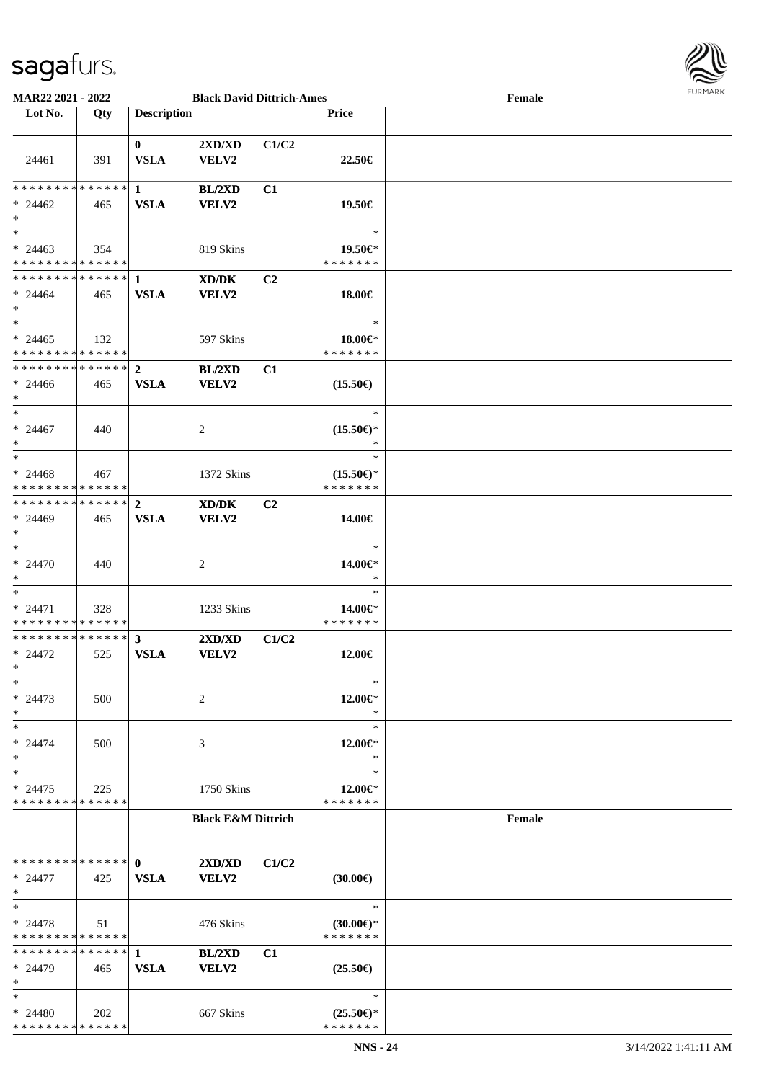

| MAR22 2021 - 2022             |     |                    | <b>Black David Dittrich-Ames</b> |       |                           | Female | $1 \times 1 \times 1 \times 1 \times 1$ |
|-------------------------------|-----|--------------------|----------------------------------|-------|---------------------------|--------|-----------------------------------------|
| Lot No.                       | Qty | <b>Description</b> |                                  |       | <b>Price</b>              |        |                                         |
|                               |     |                    |                                  |       |                           |        |                                         |
|                               |     | $\mathbf{0}$       | 2XD/XD                           | C1/C2 |                           |        |                                         |
|                               |     | <b>VSLA</b>        |                                  |       |                           |        |                                         |
| 24461                         | 391 |                    | VELV2                            |       | 22.50€                    |        |                                         |
|                               |     |                    |                                  |       |                           |        |                                         |
| ******** <mark>******</mark>  |     | $\mathbf{1}$       | BL/2XD                           | C1    |                           |        |                                         |
| $* 24462$                     | 465 | <b>VSLA</b>        | <b>VELV2</b>                     |       | 19.50€                    |        |                                         |
| $\ast$                        |     |                    |                                  |       |                           |        |                                         |
| $*$                           |     |                    |                                  |       | $\ast$                    |        |                                         |
|                               |     |                    |                                  |       |                           |        |                                         |
| $* 24463$                     | 354 |                    | 819 Skins                        |       | 19.50€*                   |        |                                         |
| * * * * * * * * * * * * * *   |     |                    |                                  |       | * * * * * * *             |        |                                         |
| **************                |     | -1                 | XD/DK                            | C2    |                           |        |                                         |
| $* 24464$                     | 465 | <b>VSLA</b>        | VELV2                            |       | 18.00€                    |        |                                         |
| $\ast$                        |     |                    |                                  |       |                           |        |                                         |
| $\overline{\phantom{1}}$      |     |                    |                                  |       | $\ast$                    |        |                                         |
| $* 24465$                     | 132 |                    | 597 Skins                        |       | 18.00 $\in$ *             |        |                                         |
| * * * * * * * * * * * * * *   |     |                    |                                  |       | * * * * * * *             |        |                                         |
|                               |     |                    |                                  |       |                           |        |                                         |
| **************                |     | $\mathbf{2}$       | BL/2XD                           | C1    |                           |        |                                         |
| $* 24466$                     | 465 | <b>VSLA</b>        | <b>VELV2</b>                     |       | $(15.50\epsilon)$         |        |                                         |
| $\ast$                        |     |                    |                                  |       |                           |        |                                         |
| $\ast$                        |     |                    |                                  |       | $\ast$                    |        |                                         |
| $* 24467$                     | 440 |                    | 2                                |       | $(15.50\epsilon)$ *       |        |                                         |
| $\ast$                        |     |                    |                                  |       | $\ast$                    |        |                                         |
| $_{\ast}^{-}$                 |     |                    |                                  |       |                           |        |                                         |
|                               |     |                    |                                  |       | $\ast$                    |        |                                         |
| $* 24468$                     | 467 |                    | 1372 Skins                       |       | $(15.50\epsilon)$ *       |        |                                         |
| * * * * * * * * * * * * * *   |     |                    |                                  |       | * * * * * * *             |        |                                         |
| * * * * * * * * * * * * * * * |     | $\overline{2}$     | XD/DK                            | C2    |                           |        |                                         |
| $* 24469$                     | 465 | <b>VSLA</b>        | <b>VELV2</b>                     |       | 14.00€                    |        |                                         |
| $\ast$                        |     |                    |                                  |       |                           |        |                                         |
| $\ast$                        |     |                    |                                  |       | $\ast$                    |        |                                         |
|                               |     |                    |                                  |       |                           |        |                                         |
| $* 24470$                     | 440 |                    | $\overline{c}$                   |       | 14.00€*                   |        |                                         |
| $\ast$                        |     |                    |                                  |       | $\ast$                    |        |                                         |
| $\ast$                        |     |                    |                                  |       | $\ast$                    |        |                                         |
| $* 24471$                     | 328 |                    | 1233 Skins                       |       | 14.00€*                   |        |                                         |
| * * * * * * * * * * * * * *   |     |                    |                                  |       | * * * * * * *             |        |                                         |
| ******** <mark>******</mark>  |     | $\mathbf{3}$       | 2XD/XD                           | C1/C2 |                           |        |                                         |
| $* 24472$                     |     | <b>VSLA</b>        | <b>VELV2</b>                     |       | 12.00€                    |        |                                         |
| $*$                           | 525 |                    |                                  |       |                           |        |                                         |
|                               |     |                    |                                  |       |                           |        |                                         |
| $\ast$                        |     |                    |                                  |       | $\ast$                    |        |                                         |
| $* 24473$                     | 500 |                    | 2                                |       | 12.00€*                   |        |                                         |
| $\ast$                        |     |                    |                                  |       | $\ast$                    |        |                                         |
| $\ast$                        |     |                    |                                  |       | $\ast$                    |        |                                         |
| $* 24474$                     | 500 |                    | 3                                |       | 12.00€*                   |        |                                         |
| $\ast$                        |     |                    |                                  |       | ∗                         |        |                                         |
|                               |     |                    |                                  |       |                           |        |                                         |
| $\ast$                        |     |                    |                                  |       | $\ast$                    |        |                                         |
| $* 24475$                     | 225 |                    | 1750 Skins                       |       | $12.00 \in$ *             |        |                                         |
| * * * * * * * * * * * * * *   |     |                    |                                  |       | * * * * * * *             |        |                                         |
|                               |     |                    | <b>Black E&amp;M Dittrich</b>    |       |                           | Female |                                         |
|                               |     |                    |                                  |       |                           |        |                                         |
|                               |     |                    |                                  |       |                           |        |                                         |
| * * * * * * * * * * * * * * * |     | $\mathbf{0}$       | 2XD/XD                           | C1/C2 |                           |        |                                         |
| $* 24477$                     | 425 | <b>VSLA</b>        | VELV2                            |       | $(30.00\epsilon)$         |        |                                         |
|                               |     |                    |                                  |       |                           |        |                                         |
| $\ast$                        |     |                    |                                  |       |                           |        |                                         |
| $\ast$                        |     |                    |                                  |       | $\ast$                    |        |                                         |
| $* 24478$                     | 51  |                    | 476 Skins                        |       | $(30.00€)$ *              |        |                                         |
| * * * * * * * * * * * * * *   |     |                    |                                  |       | * * * * * * *             |        |                                         |
| **************                |     | $\mathbf{1}$       | BL/2XD                           | C1    |                           |        |                                         |
| $* 24479$                     | 465 | <b>VSLA</b>        | <b>VELV2</b>                     |       | $(25.50\epsilon)$         |        |                                         |
| $\ast$                        |     |                    |                                  |       |                           |        |                                         |
| $\ast$                        |     |                    |                                  |       | $\ast$                    |        |                                         |
|                               |     |                    |                                  |       |                           |        |                                         |
| $* 24480$                     | 202 |                    | 667 Skins                        |       | $(25.50 \in \mathcal{F})$ |        |                                         |
| * * * * * * * * * * * * * *   |     |                    |                                  |       | * * * * * * *             |        |                                         |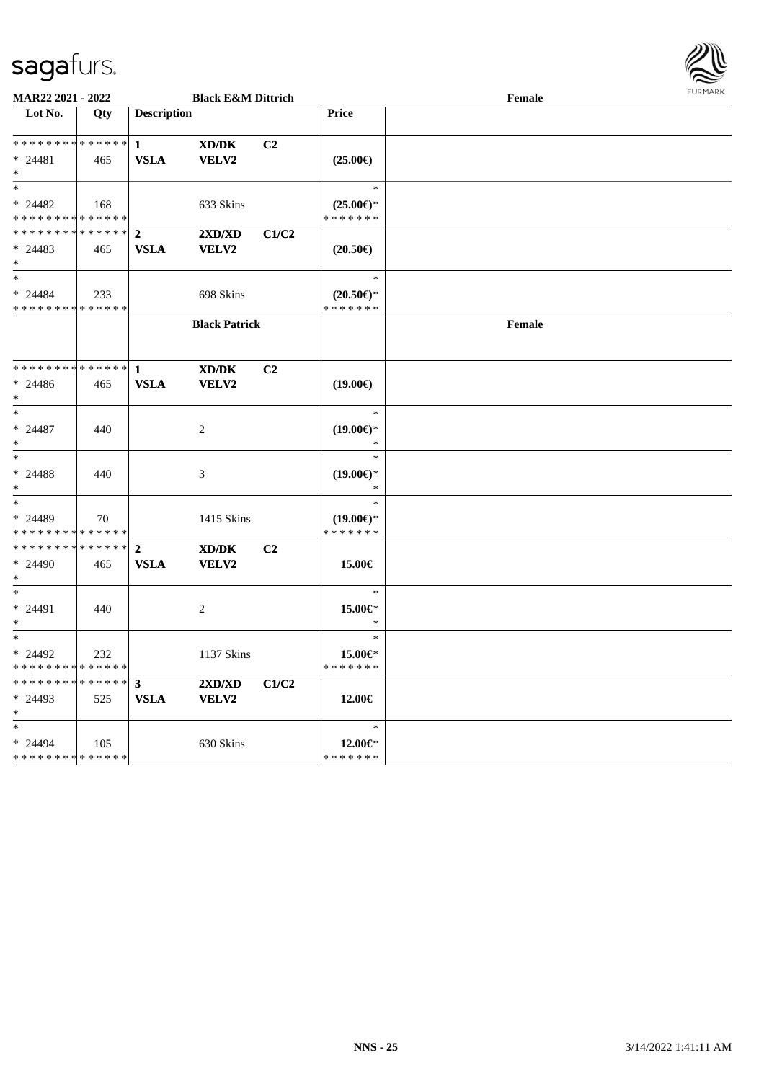

| MAR22 2021 - 2022                                              |     |                             | <b>Black E&amp;M Dittrich</b> |                |                                                | Female | <b>FUNITANN</b> |
|----------------------------------------------------------------|-----|-----------------------------|-------------------------------|----------------|------------------------------------------------|--------|-----------------|
| Lot No.                                                        | Qty | <b>Description</b>          |                               |                | <b>Price</b>                                   |        |                 |
| * * * * * * * * * * * * * * *<br>$* 24481$<br>$*$              | 465 | $\mathbf{1}$<br><b>VSLA</b> | XD/DK<br>VELV2                | C2             | $(25.00\epsilon)$                              |        |                 |
| $*$<br>$* 24482$<br>* * * * * * * * * * * * * * *              | 168 |                             | 633 Skins                     |                | $\ast$<br>$(25.00\epsilon)$ *<br>* * * * * * * |        |                 |
| ************** 2<br>$* 24483$<br>$*$                           | 465 | <b>VSLA</b>                 | 2XD/XD<br>VELV2               | C1/C2          | $(20.50\epsilon)$                              |        |                 |
| $*$<br>$* 24484$<br>* * * * * * * * * * * * * *                | 233 |                             | 698 Skins                     |                | $\ast$<br>$(20.50\epsilon)$ *<br>* * * * * * * |        |                 |
|                                                                |     |                             | <b>Black Patrick</b>          |                |                                                | Female |                 |
| $* 24486$<br>$*$                                               | 465 | <b>VSLA</b>                 | XD/DK<br>VELV2                | C <sub>2</sub> | $(19.00\epsilon)$                              |        |                 |
| $*$<br>$* 24487$<br>$\ast$                                     | 440 |                             | 2                             |                | $\ast$<br>$(19.00\epsilon)$ *<br>$\ast$        |        |                 |
| $*$<br>* 24488<br>$*$                                          | 440 |                             | 3                             |                | $\ast$<br>$(19.00\epsilon)$ *<br>$\ast$        |        |                 |
| $*$<br>* 24489<br>* * * * * * * * * * * * * *                  | 70  |                             | 1415 Skins                    |                | $\ast$<br>$(19.00\epsilon)$ *<br>* * * * * * * |        |                 |
| * * * * * * * * * * * * * * *<br>* 24490<br>$*$                | 465 | $\mathbf{2}$<br><b>VSLA</b> | XD/DK<br>VELV2                | C <sub>2</sub> | 15.00€                                         |        |                 |
| $*$<br>$* 24491$<br>$*$                                        | 440 |                             | 2                             |                | $\ast$<br>15.00€*<br>$\ast$                    |        |                 |
| $*$<br>$* 24492$<br>* * * * * * * * <mark>* * * * * * *</mark> | 232 |                             | 1137 Skins                    |                | $\ast$<br>15.00€*<br>* * * * * * *             |        |                 |
| * * * * * * * * * * * * * * *<br>$* 24493$<br>$*$              | 525 | $\mathbf{3}$<br><b>VSLA</b> | 2XD/XD<br><b>VELV2</b>        | C1/C2          | 12.00€                                         |        |                 |
| $\ast$<br>* 24494<br>* * * * * * * * * * * * * *               | 105 |                             | 630 Skins                     |                | $\ast$<br>12.00€*<br>* * * * * * *             |        |                 |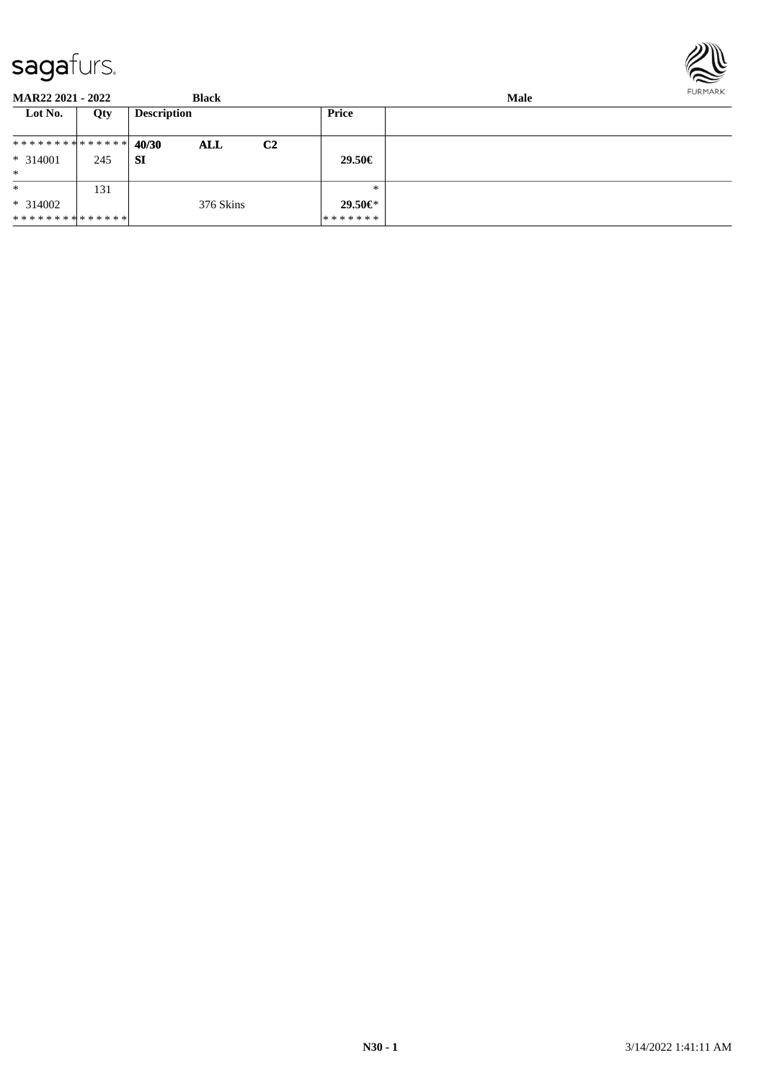

**MAR22 2021 - 2022 Black Male**<br> **Male**<br> **Male Lot No. Qty Description Price 40/30 ALL C2 SI** \* \* \* \* \* \* \* \* \* \* \* \* \* \* \* 314001 245 \* **29.50€** \* \* 314002 \* \* \* \* \* \* \* \* \* \* \* \* \* \* 131 376 Skins \* \* **29.50€**\* \* \* \* \* \* \*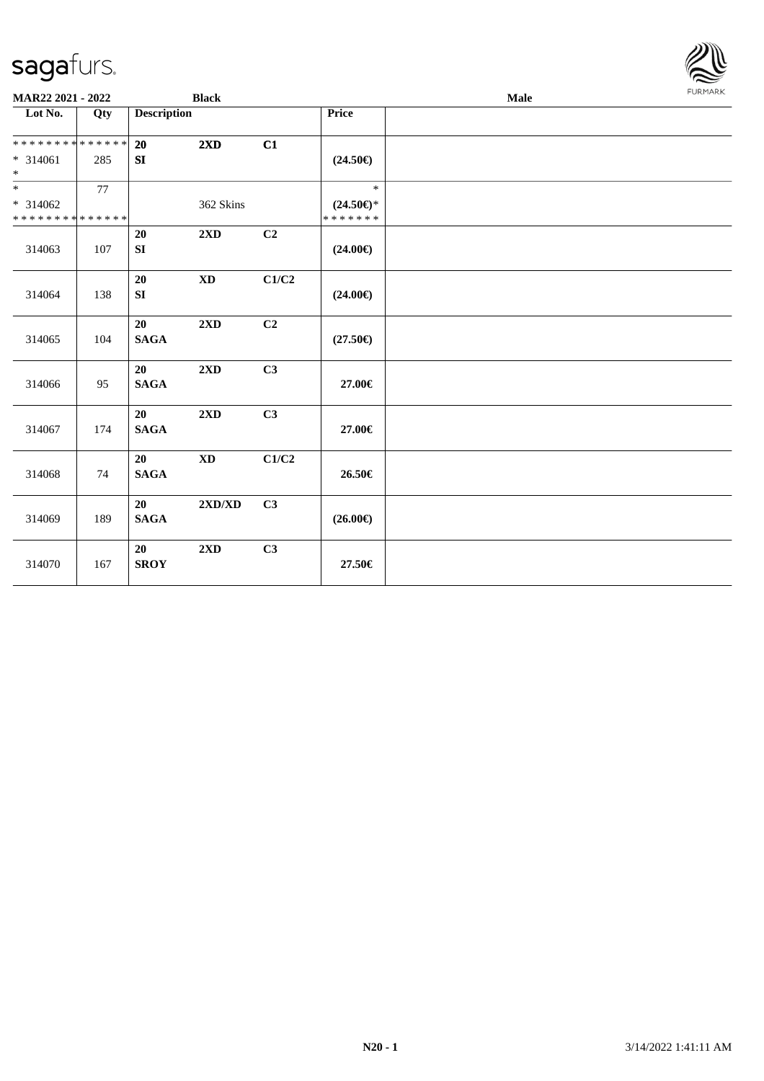

| $\overline{\text{Lot No.}}$                                           | Qty | <b>Description</b> |                        |                |                                                | Male |  |  |
|-----------------------------------------------------------------------|-----|--------------------|------------------------|----------------|------------------------------------------------|------|--|--|
|                                                                       |     |                    |                        |                | Price                                          |      |  |  |
| * * * * * * * * * * * * * *<br>$* 314061$                             | 285 | 20<br>SI           | 2XD                    | C1             | $(24.50\epsilon)$                              |      |  |  |
| $\ast$                                                                |     |                    |                        |                |                                                |      |  |  |
| $\overline{\phantom{0}}$<br>$* 314062$<br>* * * * * * * * * * * * * * | 77  |                    | 362 Skins              |                | $\ast$<br>$(24.50\epsilon)$ *<br>* * * * * * * |      |  |  |
| 314063                                                                | 107 | 20<br>SI           | 2XD                    | C <sub>2</sub> | $(24.00\epsilon)$                              |      |  |  |
| 314064                                                                | 138 | 20<br>${\bf SI}$   | $\mathbf{X}\mathbf{D}$ | C1/C2          | $(24.00\epsilon)$                              |      |  |  |
| 314065                                                                | 104 | 20<br><b>SAGA</b>  | 2XD                    | C2             | $(27.50\epsilon)$                              |      |  |  |
| 314066                                                                | 95  | 20<br><b>SAGA</b>  | 2XD                    | C3             | 27.00€                                         |      |  |  |
| 314067                                                                | 174 | 20<br><b>SAGA</b>  | 2XD                    | C3             | 27.00€                                         |      |  |  |
| 314068                                                                | 74  | 20<br><b>SAGA</b>  | $\mathbf{X}\mathbf{D}$ | C1/C2          | 26.50€                                         |      |  |  |
| 314069                                                                | 189 | 20<br><b>SAGA</b>  | 2XD/XD                 | C3             | $(26.00\epsilon)$                              |      |  |  |
| 314070                                                                | 167 | 20<br><b>SROY</b>  | 2XD                    | C3             | $27.50\in$                                     |      |  |  |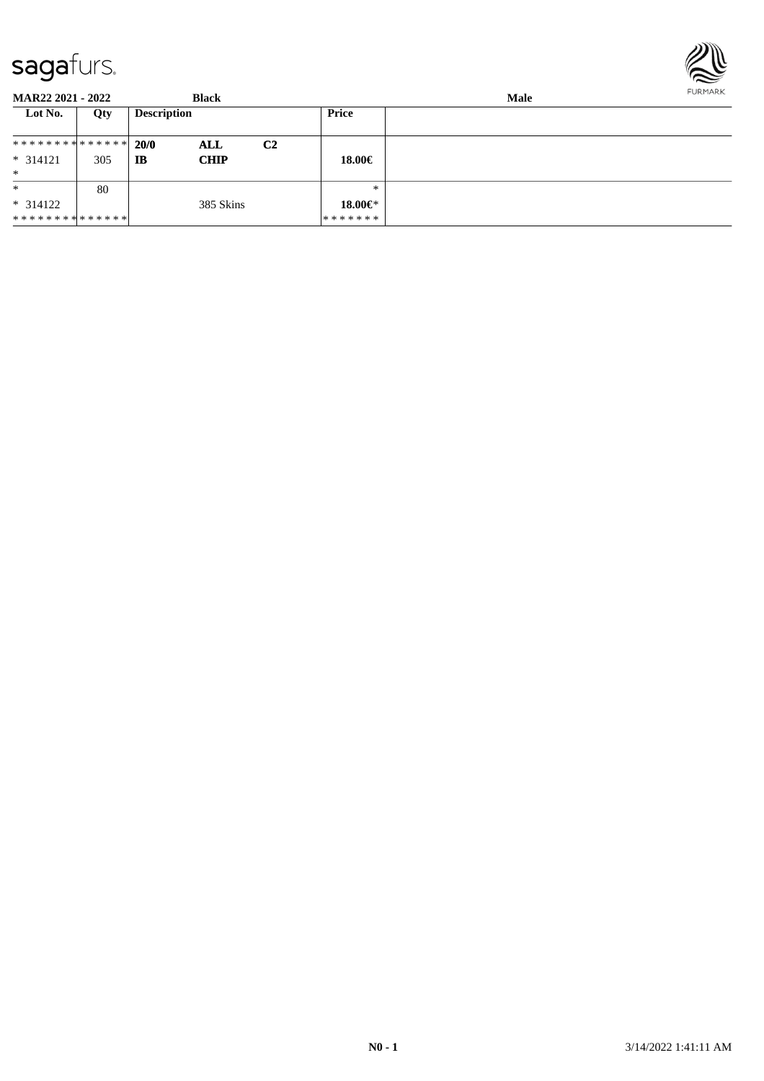

| <b>MAR22 2021 - 2022</b>      |     |                    | <b>Black</b> |                | <b>Male</b> |  |  |  |
|-------------------------------|-----|--------------------|--------------|----------------|-------------|--|--|--|
| Lot No.                       | Qty | <b>Description</b> |              |                | Price       |  |  |  |
| * * * * * * * * * * * * * * * |     | 20/0               | ALL          | C <sub>2</sub> |             |  |  |  |
| $* 314121$                    | 305 | IB                 | <b>CHIP</b>  |                | 18.00€      |  |  |  |
| $\ast$                        |     |                    |              |                |             |  |  |  |
| $\ast$                        | 80  |                    |              |                | $*$         |  |  |  |
| $* 314122$                    |     |                    | 385 Skins    |                | 18.00 $\in$ |  |  |  |
| * * * * * * * * * * * * * * * |     |                    |              |                | *******     |  |  |  |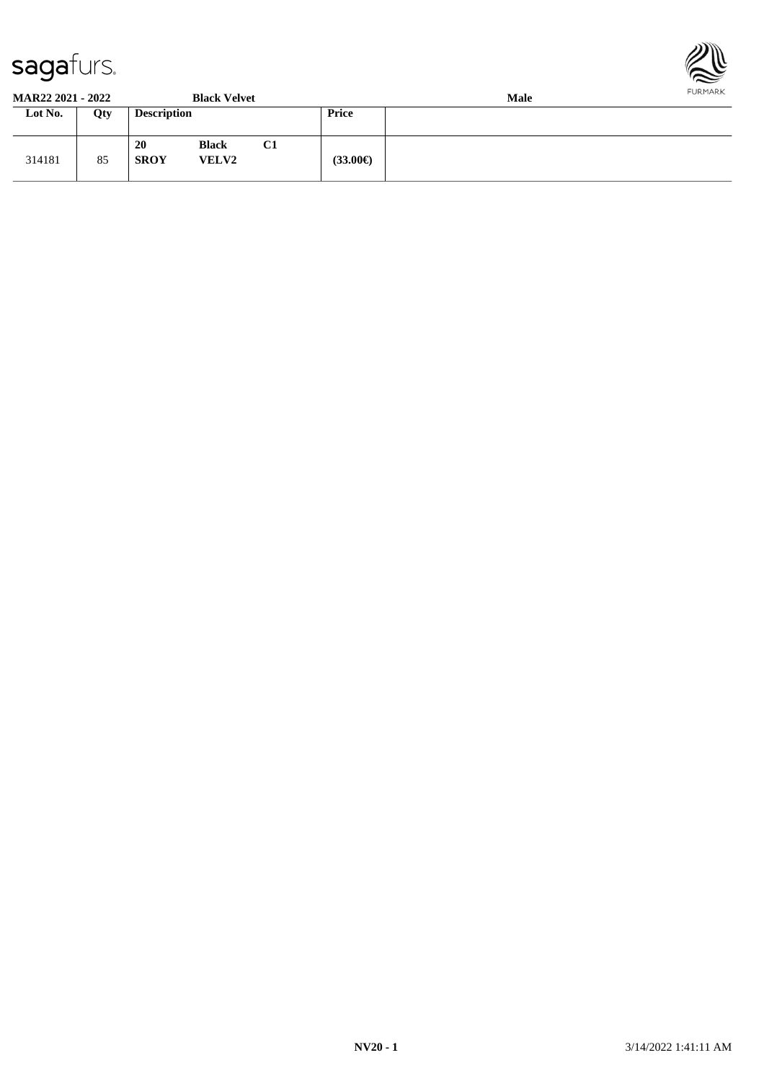



**MAR22 2021 - 2022 Black Velvet Male**

| 91/11122 2021 - 2022 . |     |                    | DIALA V LIVEL                |    | wan     |  |  |  |  |
|------------------------|-----|--------------------|------------------------------|----|---------|--|--|--|--|
| Lot No.                | Qty | <b>Description</b> |                              |    | Price   |  |  |  |  |
| 314181                 | 85  | 20<br><b>SROY</b>  | <b>Black</b><br><b>VELV2</b> | C1 | (33.00) |  |  |  |  |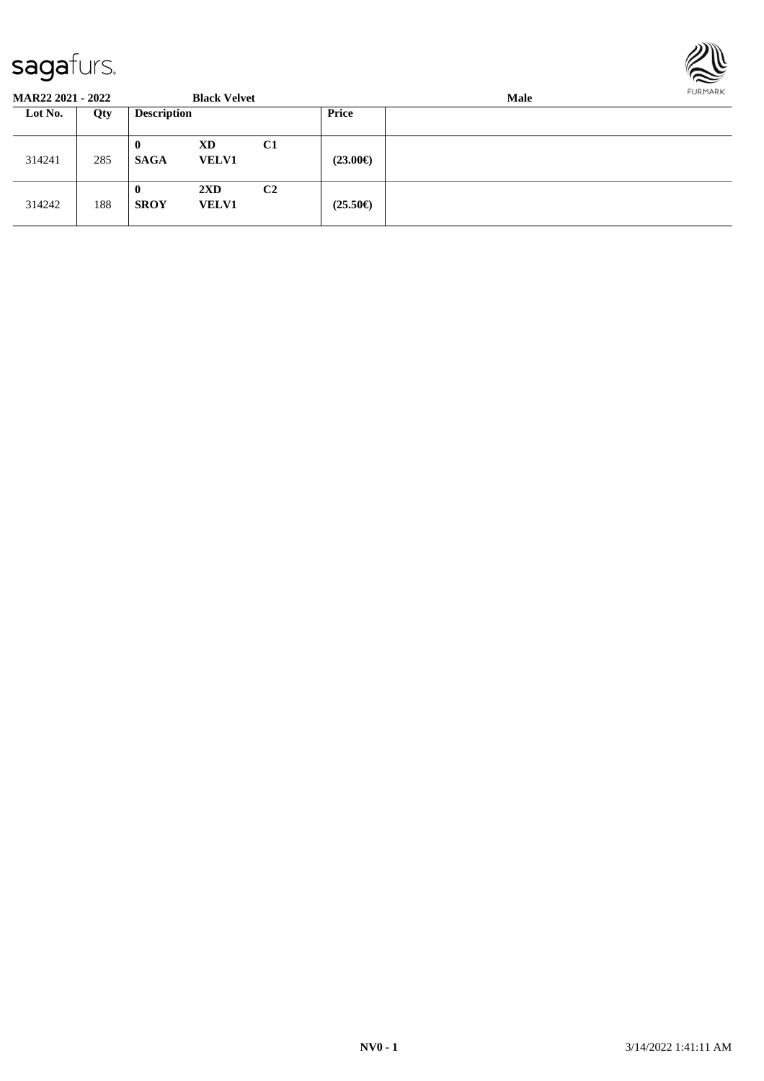

| <b>MAR22 2021 - 2022</b> |     |                         | <b>Black Velvet</b>                     |                |                   | Male |  |  |  |  |
|--------------------------|-----|-------------------------|-----------------------------------------|----------------|-------------------|------|--|--|--|--|
| Lot No.                  | Qty | <b>Description</b>      |                                         |                | Price             |      |  |  |  |  |
| 314241                   | 285 | $\bf{0}$<br><b>SAGA</b> | XD<br><b>VELV1</b>                      | C <sub>1</sub> | $(23.00\epsilon)$ |      |  |  |  |  |
| 314242                   | 188 | $\bf{0}$<br><b>SROY</b> | $2\mathbf{X}\mathbf{D}$<br><b>VELV1</b> | C <sub>2</sub> | $(25.50\epsilon)$ |      |  |  |  |  |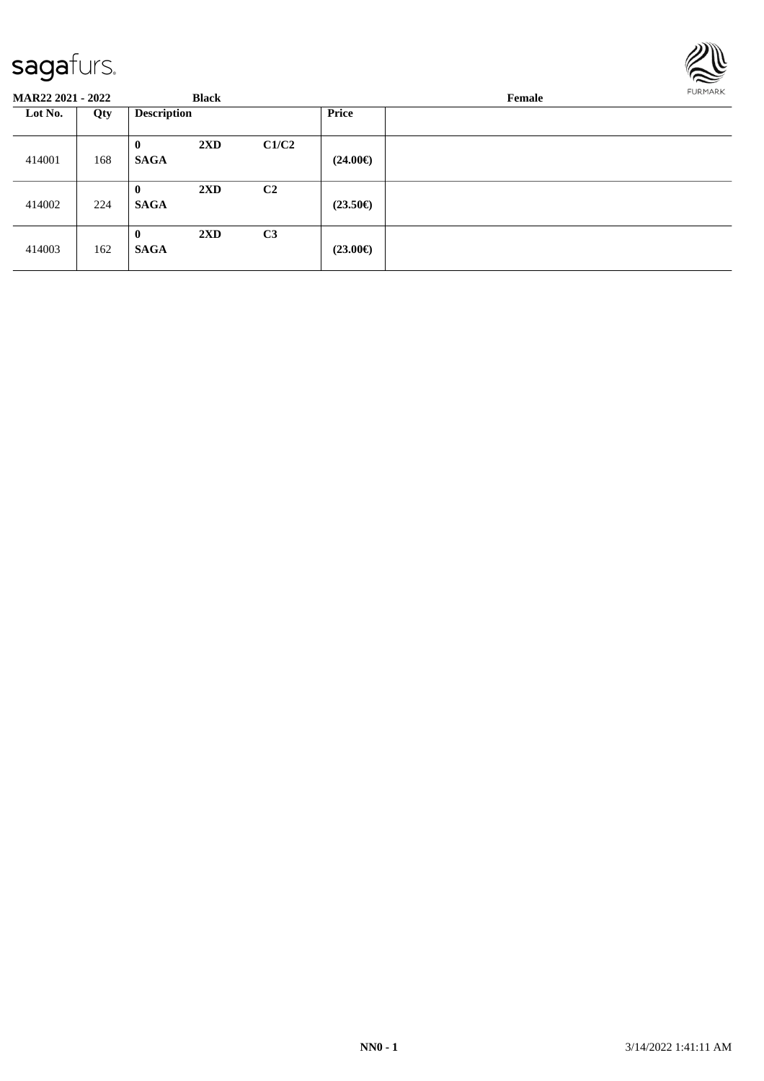

| <b>MAR22 2021 - 2022</b> |     |                             | <b>Black</b>            |                |                   | Female | FURMARK |
|--------------------------|-----|-----------------------------|-------------------------|----------------|-------------------|--------|---------|
| Lot No.                  | Qty | <b>Description</b>          |                         |                | <b>Price</b>      |        |         |
| 414001                   | 168 | $\bf{0}$<br><b>SAGA</b>     | $2\mathbf{X}\mathbf{D}$ | C1/C2          | $(24.00\epsilon)$ |        |         |
| 414002                   | 224 | $\mathbf{0}$<br><b>SAGA</b> | $2\mathbf{X}\mathbf{D}$ | C <sub>2</sub> | $(23.50\epsilon)$ |        |         |
| 414003                   | 162 | $\bf{0}$<br><b>SAGA</b>     | $2\mathbf{X}\mathbf{D}$ | C <sub>3</sub> | $(23.00\epsilon)$ |        |         |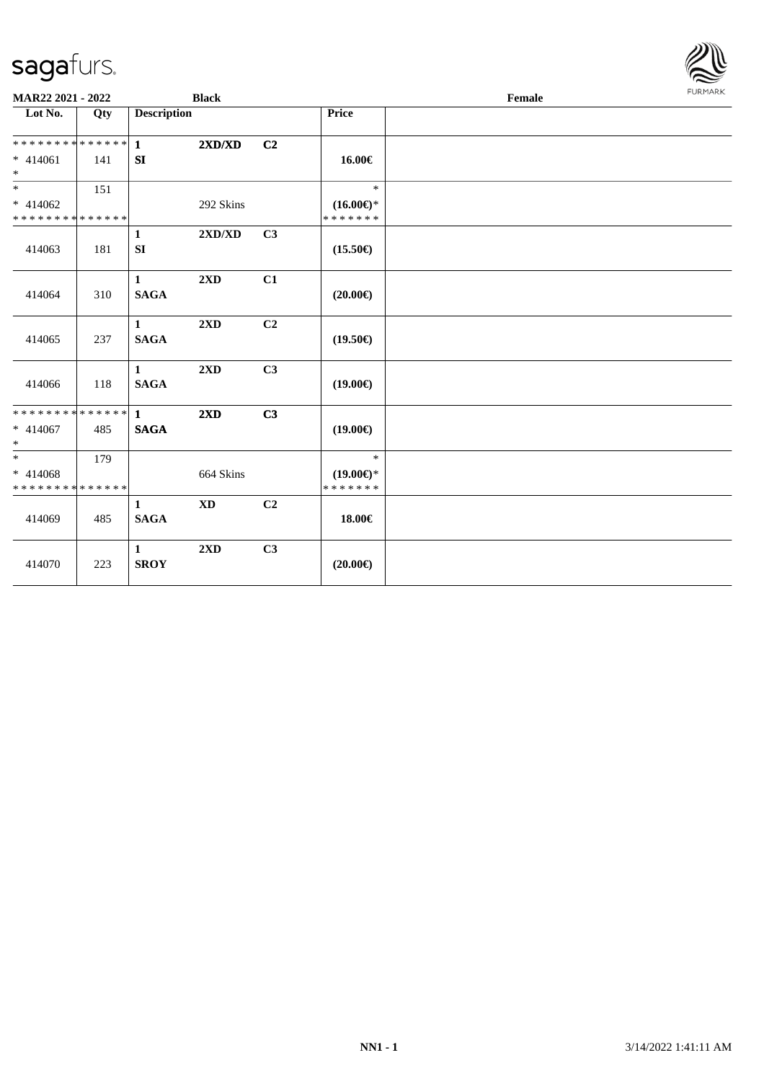

| MAR22 2021 - 2022                                                       |     |                                 | <b>Black</b>            |    |                                                | Female | <b>FURMARK</b> |
|-------------------------------------------------------------------------|-----|---------------------------------|-------------------------|----|------------------------------------------------|--------|----------------|
| Lot No.                                                                 | Qty | <b>Description</b>              |                         |    | Price                                          |        |                |
| * * * * * * * * * * * * * * *<br>$* 414061$<br>$\ast$                   | 141 | $\mathbf{1}$<br>SI              | 2XD/XD                  | C2 | 16.00€                                         |        |                |
| $\overline{\phantom{a}^*}$<br>$* 414062$<br>* * * * * * * * * * * * * * | 151 |                                 | 292 Skins               |    | $\ast$<br>$(16.00\epsilon)$ *<br>* * * * * * * |        |                |
| 414063                                                                  | 181 | $\mathbf{1}$<br>SI              | 2XD/XD                  | C3 | $(15.50\epsilon)$                              |        |                |
| 414064                                                                  | 310 | $\mathbf{1}$<br><b>SAGA</b>     | $2\mathbf{X}\mathbf{D}$ | C1 | $(20.00\epsilon)$                              |        |                |
| 414065                                                                  | 237 | $\mathbf{1}$<br><b>SAGA</b>     | 2XD                     | C2 | $(19.50\epsilon)$                              |        |                |
| 414066                                                                  | 118 | $\mathbf{1}$<br><b>SAGA</b>     | 2XD                     | C3 | $(19.00\epsilon)$                              |        |                |
| **************<br>$* 414067$<br>$\ast$                                  | 485 | $\mathbf{1}$<br>$\mathbf{SAGA}$ | $2\mathbf{X}\mathbf{D}$ | C3 | $(19.00\epsilon)$                              |        |                |
| $\overline{\phantom{a}^*}$<br>$* 414068$<br>* * * * * * * * * * * * * * | 179 |                                 | 664 Skins               |    | $\ast$<br>$(19.00\epsilon)$ *<br>* * * * * * * |        |                |
| 414069                                                                  | 485 | $\mathbf{1}$<br><b>SAGA</b>     | <b>XD</b>               | C2 | 18.00€                                         |        |                |
| 414070                                                                  | 223 | $\mathbf{1}$<br><b>SROY</b>     | 2XD                     | C3 | $(20.00\epsilon)$                              |        |                |
|                                                                         |     |                                 |                         |    |                                                |        |                |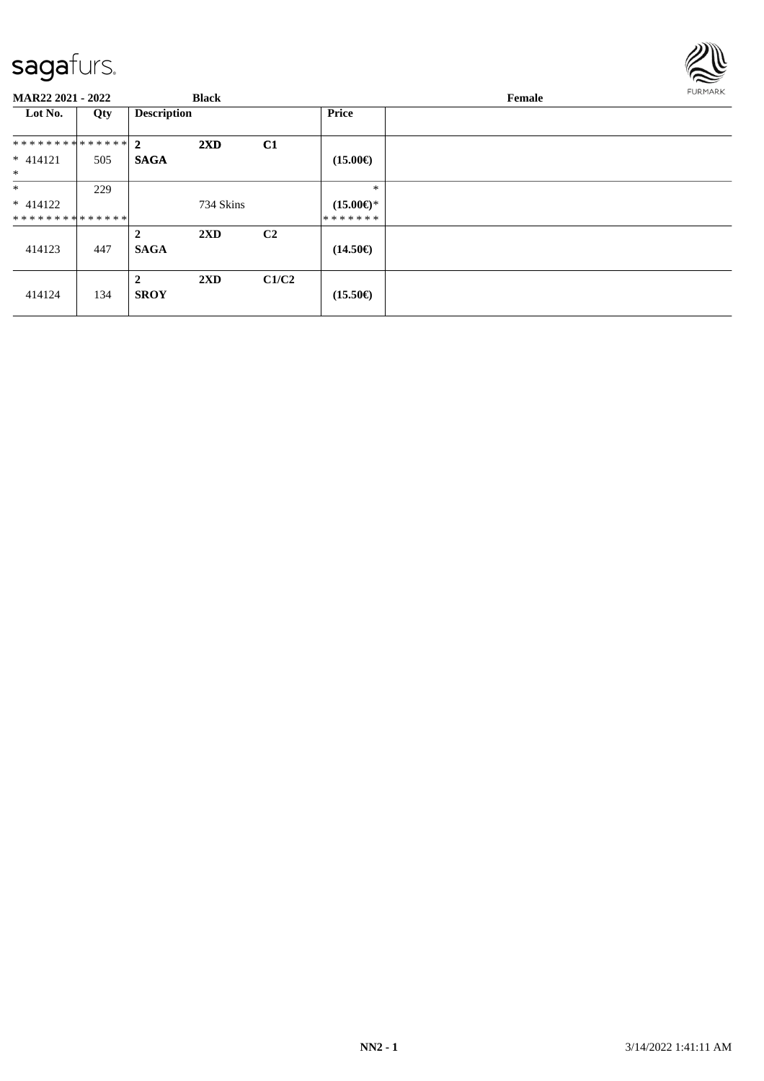

| <b>MAR22 2021 - 2022</b> |     | <b>Black</b>                  |                         |                | Female              |  | <b>FURMARK</b> |
|--------------------------|-----|-------------------------------|-------------------------|----------------|---------------------|--|----------------|
| Lot No.                  | Qty | <b>Description</b>            |                         |                | <b>Price</b>        |  |                |
| ************** 2         |     |                               | $2\mathbf{X}\mathbf{D}$ | C1             |                     |  |                |
| $* 414121$<br>$\ast$     | 505 | <b>SAGA</b>                   |                         |                | $(15.00\epsilon)$   |  |                |
| $\ast$                   | 229 |                               |                         |                | $\ast$              |  |                |
| $* 414122$               |     |                               | 734 Skins               |                | $(15.00\epsilon)$ * |  |                |
| **************           |     |                               |                         |                | *******             |  |                |
| 414123                   | 447 | $\overline{2}$<br><b>SAGA</b> | $2\mathbf{X}\mathbf{D}$ | C <sub>2</sub> | $(14.50\epsilon)$   |  |                |
| 414124                   | 134 | $\mathbf{2}$<br><b>SROY</b>   | 2XD                     | C1/C2          | $(15.50\epsilon)$   |  |                |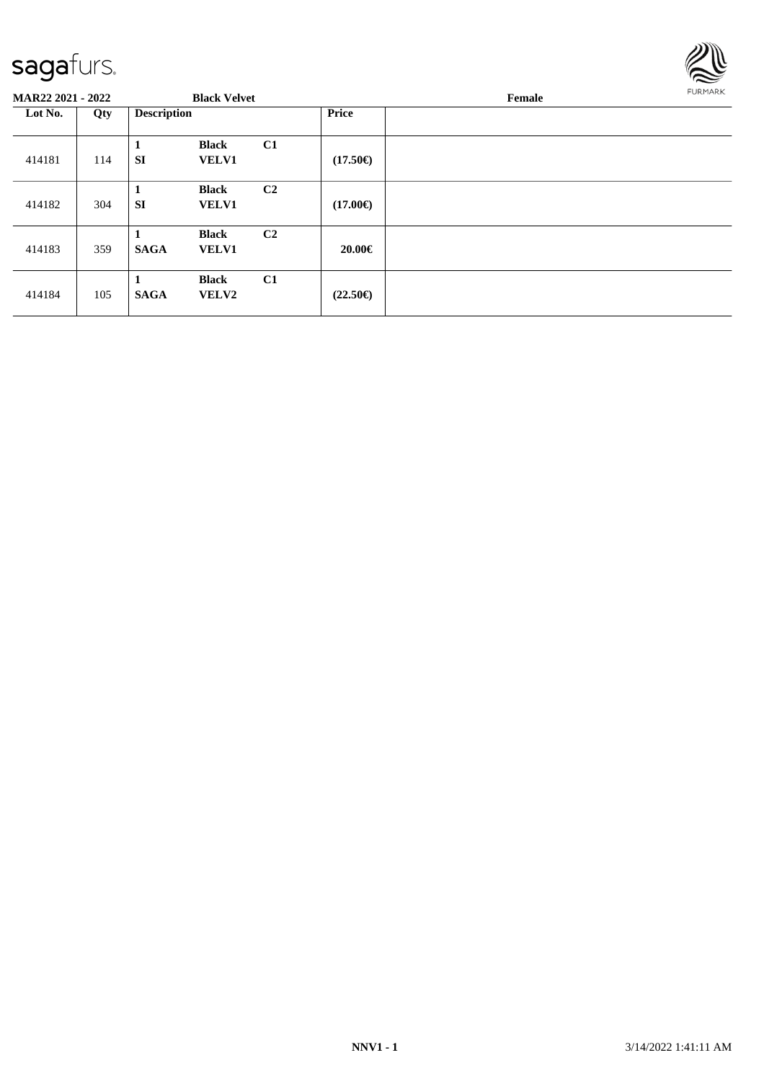

| <b>MAR22 2021 - 2022</b> |     | <b>Black Velvet</b> |                              |                |                   | Female | <b>FURMARK</b> |
|--------------------------|-----|---------------------|------------------------------|----------------|-------------------|--------|----------------|
| Lot No.                  | Qty | <b>Description</b>  |                              |                | <b>Price</b>      |        |                |
| 414181                   | 114 | 1<br><b>SI</b>      | <b>Black</b><br><b>VELV1</b> | C1             | $(17.50\epsilon)$ |        |                |
| 414182                   | 304 | 1<br><b>SI</b>      | <b>Black</b><br><b>VELV1</b> | C <sub>2</sub> | $(17.00\epsilon)$ |        |                |
| 414183                   | 359 | 1<br><b>SAGA</b>    | <b>Black</b><br><b>VELV1</b> | C <sub>2</sub> | 20.00€            |        |                |
| 414184                   | 105 | -1<br><b>SAGA</b>   | <b>Black</b><br><b>VELV2</b> | C1             | $(22.50\epsilon)$ |        |                |